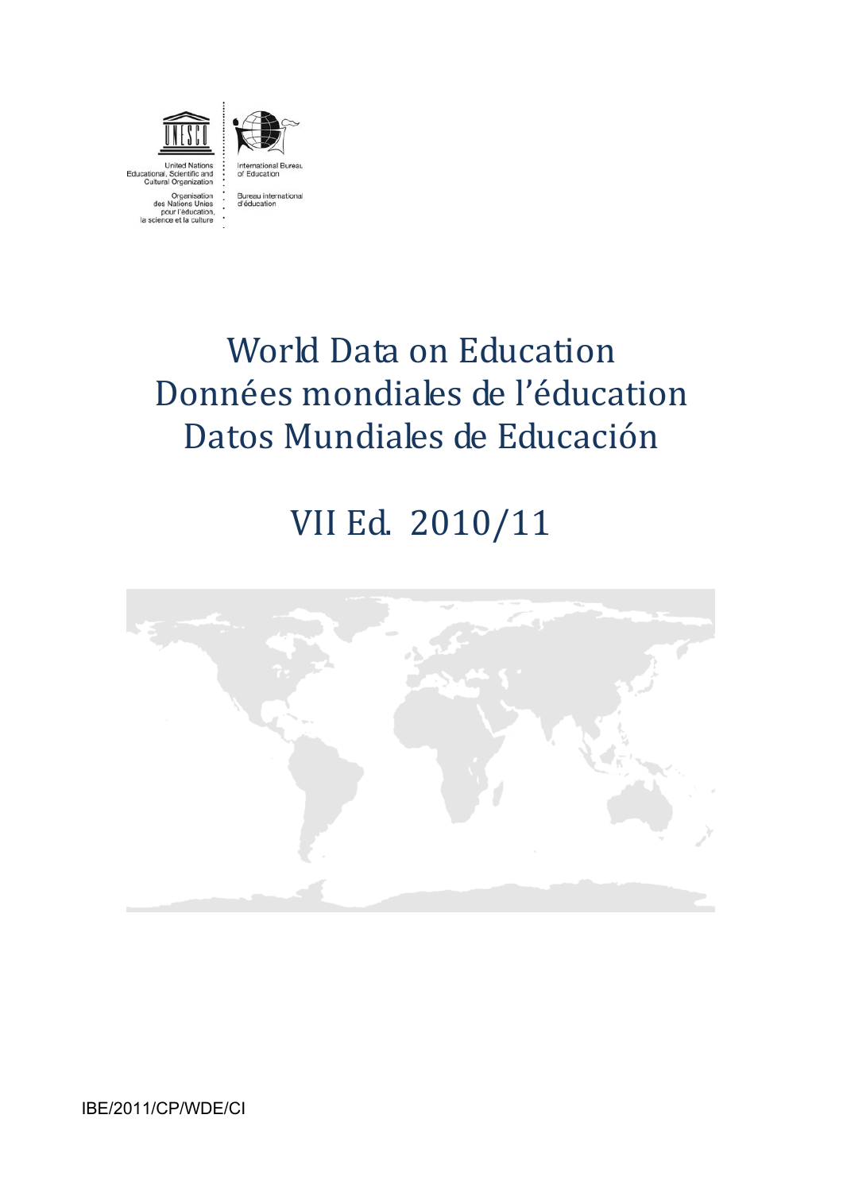

United Nations<br>Educational, Scientific and Cultural Organization



Organisation<br>Nations Unies pour l'éducation,<br>ence et la culture



# VII Ed. 2010/11



IBE/2011/CP/WDE/CI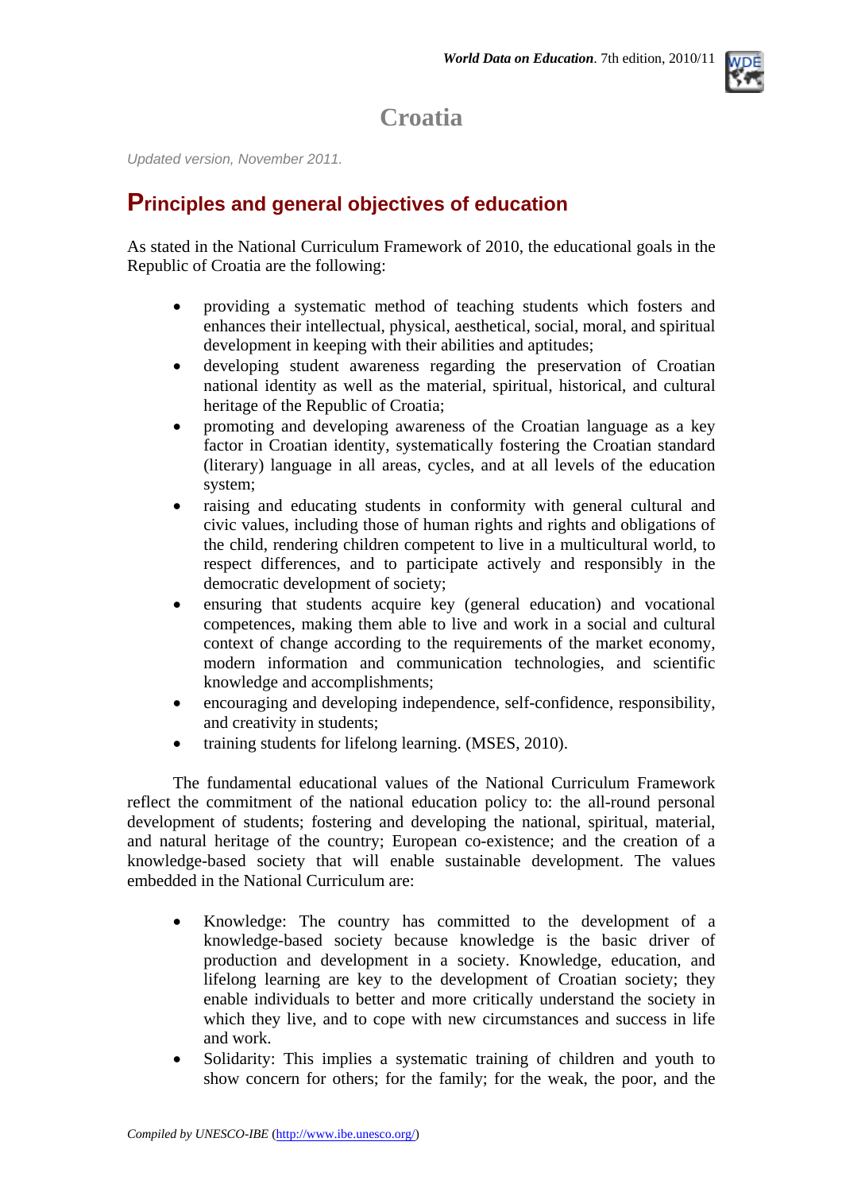

# **Croatia**

*Updated version, November 2011.*

### **Principles and general objectives of education**

As stated in the National Curriculum Framework of 2010, the educational goals in the Republic of Croatia are the following:

- providing a systematic method of teaching students which fosters and enhances their intellectual, physical, aesthetical, social, moral, and spiritual development in keeping with their abilities and aptitudes;
- developing student awareness regarding the preservation of Croatian national identity as well as the material, spiritual, historical, and cultural heritage of the Republic of Croatia;
- promoting and developing awareness of the Croatian language as a key factor in Croatian identity, systematically fostering the Croatian standard (literary) language in all areas, cycles, and at all levels of the education system;
- raising and educating students in conformity with general cultural and civic values, including those of human rights and rights and obligations of the child, rendering children competent to live in a multicultural world, to respect differences, and to participate actively and responsibly in the democratic development of society;
- ensuring that students acquire key (general education) and vocational competences, making them able to live and work in a social and cultural context of change according to the requirements of the market economy, modern information and communication technologies, and scientific knowledge and accomplishments;
- encouraging and developing independence, self-confidence, responsibility, and creativity in students;
- training students for lifelong learning. (MSES, 2010).

The fundamental educational values of the National Curriculum Framework reflect the commitment of the national education policy to: the all-round personal development of students; fostering and developing the national, spiritual, material, and natural heritage of the country; European co-existence; and the creation of a knowledge-based society that will enable sustainable development. The values embedded in the National Curriculum are:

- Knowledge: The country has committed to the development of a knowledge-based society because knowledge is the basic driver of production and development in a society. Knowledge, education, and lifelong learning are key to the development of Croatian society; they enable individuals to better and more critically understand the society in which they live, and to cope with new circumstances and success in life and work.
- Solidarity: This implies a systematic training of children and youth to show concern for others; for the family; for the weak, the poor, and the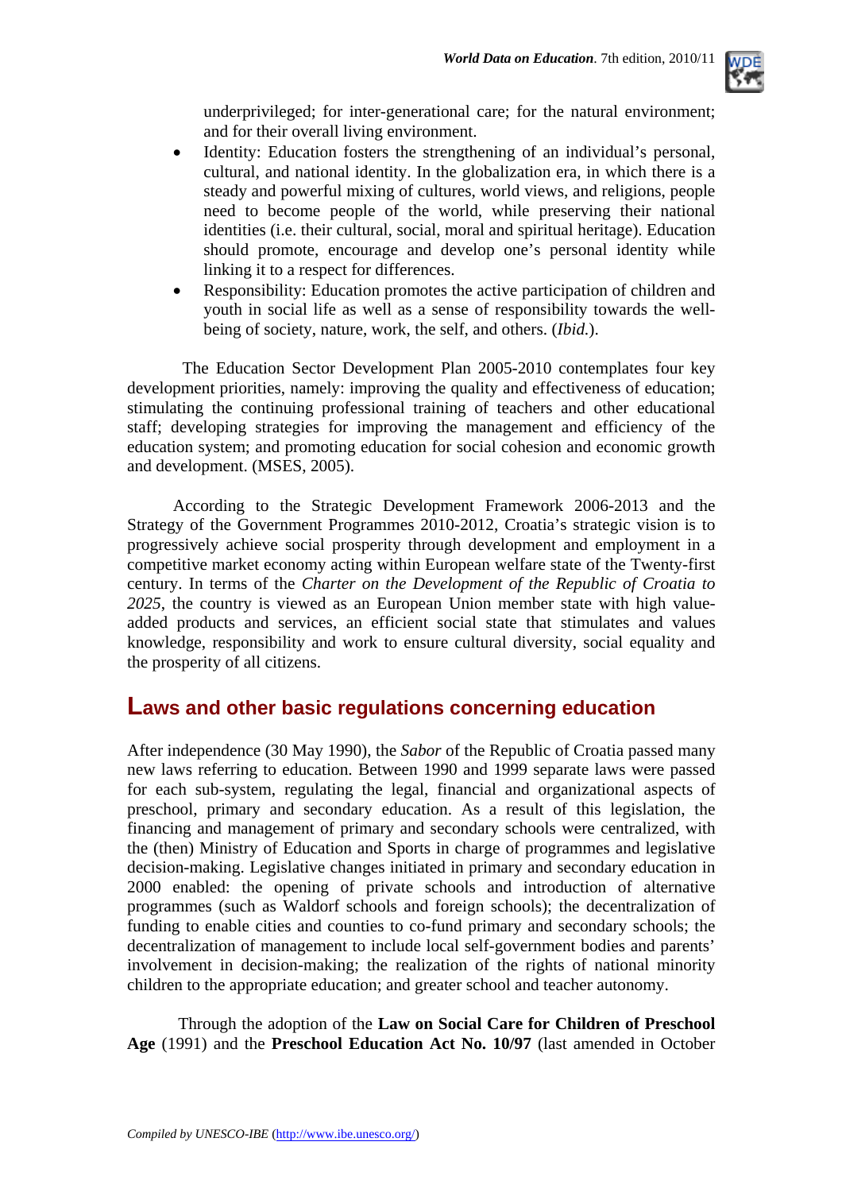

underprivileged; for inter-generational care; for the natural environment; and for their overall living environment.

- Identity: Education fosters the strengthening of an individual's personal, cultural, and national identity. In the globalization era, in which there is a steady and powerful mixing of cultures, world views, and religions, people need to become people of the world, while preserving their national identities (i.e. their cultural, social, moral and spiritual heritage). Education should promote, encourage and develop one's personal identity while linking it to a respect for differences.
- Responsibility: Education promotes the active participation of children and youth in social life as well as a sense of responsibility towards the wellbeing of society, nature, work, the self, and others. (*Ibid.*).

 The Education Sector Development Plan 2005-2010 contemplates four key development priorities, namely: improving the quality and effectiveness of education; stimulating the continuing professional training of teachers and other educational staff; developing strategies for improving the management and efficiency of the education system; and promoting education for social cohesion and economic growth and development. (MSES, 2005).

According to the Strategic Development Framework 2006-2013 and the Strategy of the Government Programmes 2010-2012, Croatia's strategic vision is to progressively achieve social prosperity through development and employment in a competitive market economy acting within European welfare state of the Twenty-first century. In terms of the *Charter on the Development of the Republic of Croatia to 2025*, the country is viewed as an European Union member state with high valueadded products and services, an efficient social state that stimulates and values knowledge, responsibility and work to ensure cultural diversity, social equality and the prosperity of all citizens.

### **Laws and other basic regulations concerning education**

After independence (30 May 1990), the *Sabor* of the Republic of Croatia passed many new laws referring to education. Between 1990 and 1999 separate laws were passed for each sub-system, regulating the legal, financial and organizational aspects of preschool, primary and secondary education. As a result of this legislation, the financing and management of primary and secondary schools were centralized, with the (then) Ministry of Education and Sports in charge of programmes and legislative decision-making. Legislative changes initiated in primary and secondary education in 2000 enabled: the opening of private schools and introduction of alternative programmes (such as Waldorf schools and foreign schools); the decentralization of funding to enable cities and counties to co-fund primary and secondary schools; the decentralization of management to include local self-government bodies and parents' involvement in decision-making; the realization of the rights of national minority children to the appropriate education; and greater school and teacher autonomy.

Through the adoption of the **Law on Social Care for Children of Preschool Age** (1991) and the **Preschool Education Act No. 10/97** (last amended in October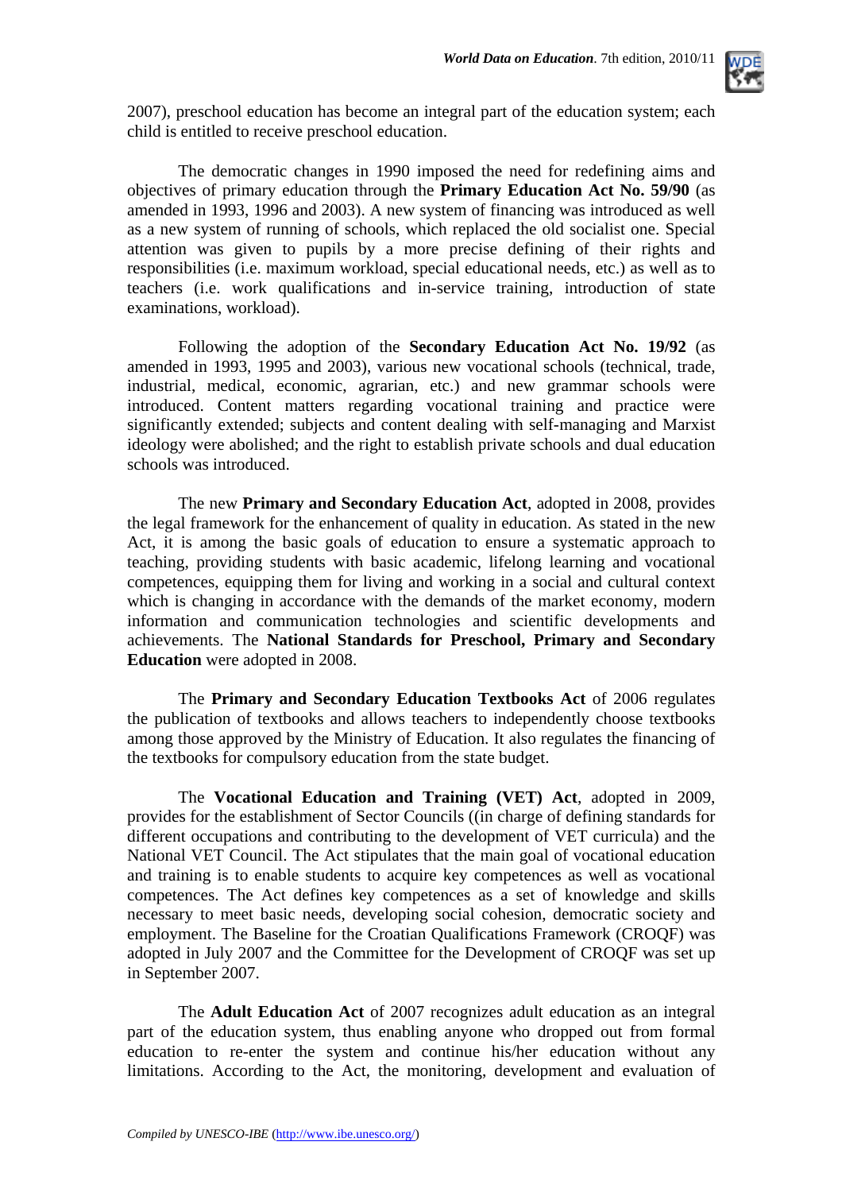

2007), preschool education has become an integral part of the education system; each child is entitled to receive preschool education.

The democratic changes in 1990 imposed the need for redefining aims and objectives of primary education through the **Primary Education Act No. 59/90** (as amended in 1993, 1996 and 2003). A new system of financing was introduced as well as a new system of running of schools, which replaced the old socialist one. Special attention was given to pupils by a more precise defining of their rights and responsibilities (i.e. maximum workload, special educational needs, etc.) as well as to teachers (i.e. work qualifications and in-service training, introduction of state examinations, workload).

Following the adoption of the **Secondary Education Act No. 19/92** (as amended in 1993, 1995 and 2003), various new vocational schools (technical, trade, industrial, medical, economic, agrarian, etc.) and new grammar schools were introduced. Content matters regarding vocational training and practice were significantly extended; subjects and content dealing with self-managing and Marxist ideology were abolished; and the right to establish private schools and dual education schools was introduced.

The new **Primary and Secondary Education Act**, adopted in 2008, provides the legal framework for the enhancement of quality in education. As stated in the new Act, it is among the basic goals of education to ensure a systematic approach to teaching, providing students with basic academic, lifelong learning and vocational competences, equipping them for living and working in a social and cultural context which is changing in accordance with the demands of the market economy, modern information and communication technologies and scientific developments and achievements. The **National Standards for Preschool, Primary and Secondary Education** were adopted in 2008.

The **Primary and Secondary Education Textbooks Act** of 2006 regulates the publication of textbooks and allows teachers to independently choose textbooks among those approved by the Ministry of Education. It also regulates the financing of the textbooks for compulsory education from the state budget.

The **Vocational Education and Training (VET) Act**, adopted in 2009, provides for the establishment of Sector Councils ((in charge of defining standards for different occupations and contributing to the development of VET curricula) and the National VET Council. The Act stipulates that the main goal of vocational education and training is to enable students to acquire key competences as well as vocational competences. The Act defines key competences as a set of knowledge and skills necessary to meet basic needs, developing social cohesion, democratic society and employment. The Baseline for the Croatian Qualifications Framework (CROQF) was adopted in July 2007 and the Committee for the Development of CROQF was set up in September 2007.

The **Adult Education Act** of 2007 recognizes adult education as an integral part of the education system, thus enabling anyone who dropped out from formal education to re-enter the system and continue his/her education without any limitations. According to the Act, the monitoring, development and evaluation of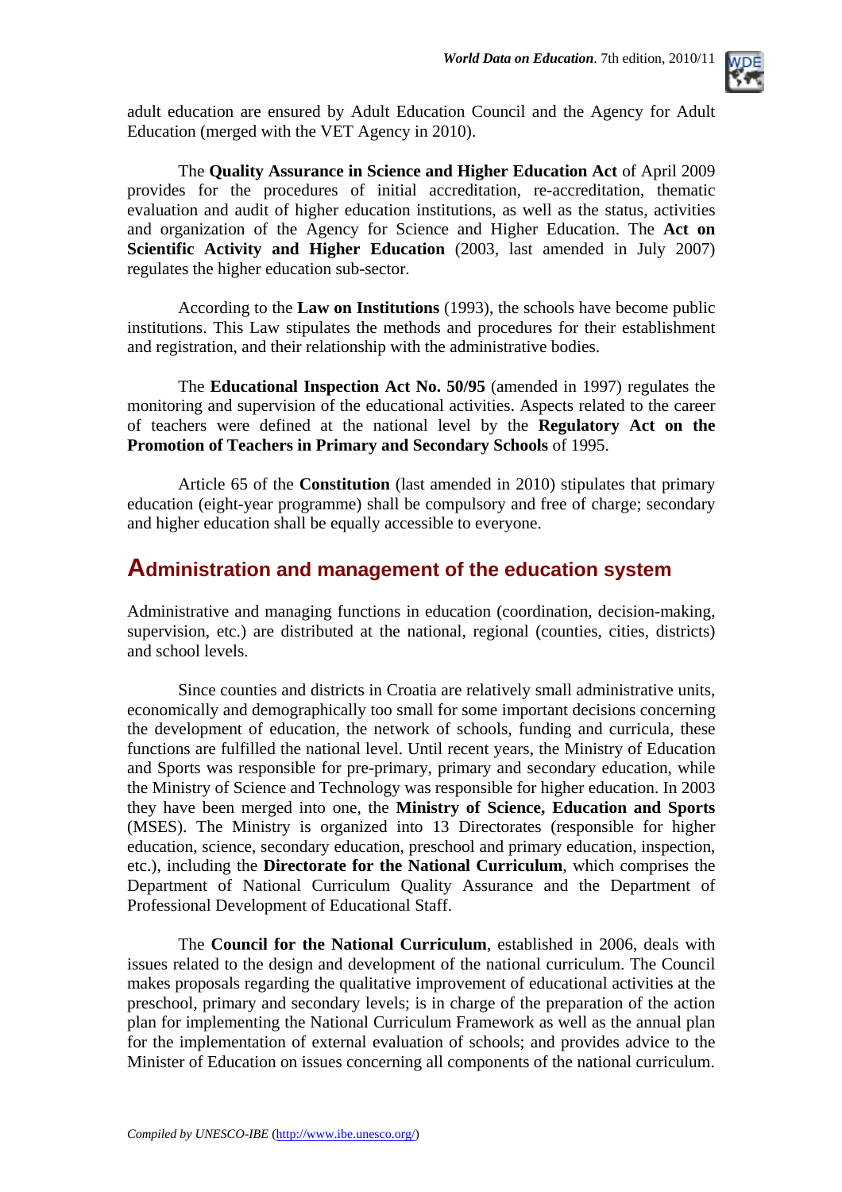

adult education are ensured by Adult Education Council and the Agency for Adult Education (merged with the VET Agency in 2010).

The **Quality Assurance in Science and Higher Education Act** of April 2009 provides for the procedures of initial accreditation, re-accreditation, thematic evaluation and audit of higher education institutions, as well as the status, activities and organization of the Agency for Science and Higher Education. The **Act on Scientific Activity and Higher Education** (2003, last amended in July 2007) regulates the higher education sub-sector.

According to the **Law on Institutions** (1993), the schools have become public institutions. This Law stipulates the methods and procedures for their establishment and registration, and their relationship with the administrative bodies.

The **Educational Inspection Act No. 50/95** (amended in 1997) regulates the monitoring and supervision of the educational activities. Aspects related to the career of teachers were defined at the national level by the **Regulatory Act on the Promotion of Teachers in Primary and Secondary Schools** of 1995.

Article 65 of the **Constitution** (last amended in 2010) stipulates that primary education (eight-year programme) shall be compulsory and free of charge; secondary and higher education shall be equally accessible to everyone.

### **Administration and management of the education system**

Administrative and managing functions in education (coordination, decision-making, supervision, etc.) are distributed at the national, regional (counties, cities, districts) and school levels.

Since counties and districts in Croatia are relatively small administrative units, economically and demographically too small for some important decisions concerning the development of education, the network of schools, funding and curricula, these functions are fulfilled the national level. Until recent years, the Ministry of Education and Sports was responsible for pre-primary, primary and secondary education, while the Ministry of Science and Technology was responsible for higher education. In 2003 they have been merged into one, the **Ministry of Science, Education and Sports** (MSES). The Ministry is organized into 13 Directorates (responsible for higher education, science, secondary education, preschool and primary education, inspection, etc.), including the **Directorate for the National Curriculum**, which comprises the Department of National Curriculum Quality Assurance and the Department of Professional Development of Educational Staff.

The **Council for the National Curriculum**, established in 2006, deals with issues related to the design and development of the national curriculum. The Council makes proposals regarding the qualitative improvement of educational activities at the preschool, primary and secondary levels; is in charge of the preparation of the action plan for implementing the National Curriculum Framework as well as the annual plan for the implementation of external evaluation of schools; and provides advice to the Minister of Education on issues concerning all components of the national curriculum.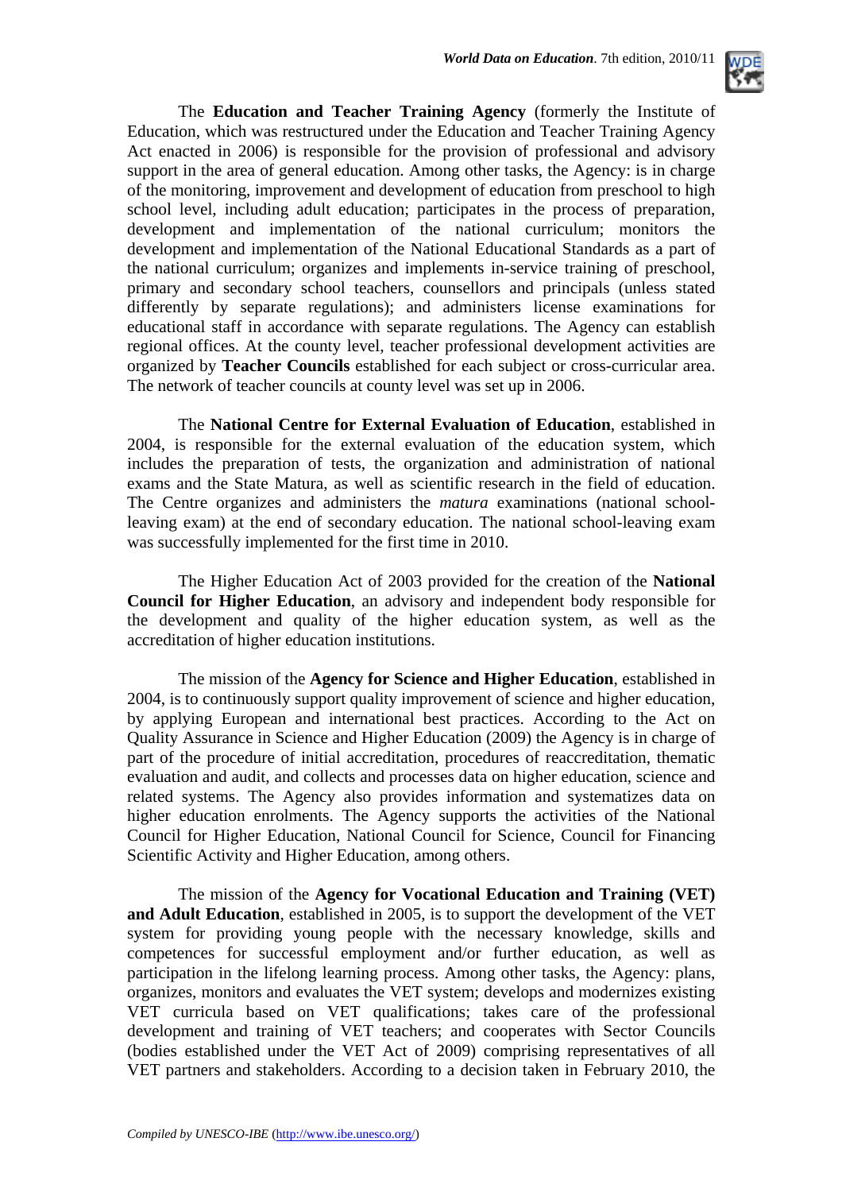

The **Education and Teacher Training Agency** (formerly the Institute of Education, which was restructured under the Education and Teacher Training Agency Act enacted in 2006) is responsible for the provision of professional and advisory support in the area of general education. Among other tasks, the Agency: is in charge of the monitoring, improvement and development of education from preschool to high school level, including adult education; participates in the process of preparation, development and implementation of the national curriculum; monitors the development and implementation of the National Educational Standards as a part of the national curriculum; organizes and implements in-service training of preschool, primary and secondary school teachers, counsellors and principals (unless stated differently by separate regulations); and administers license examinations for educational staff in accordance with separate regulations. The Agency can establish regional offices. At the county level, teacher professional development activities are organized by **Teacher Councils** established for each subject or cross-curricular area. The network of teacher councils at county level was set up in 2006.

The **National Centre for External Evaluation of Education**, established in 2004, is responsible for the external evaluation of the education system, which includes the preparation of tests, the organization and administration of national exams and the State Matura, as well as scientific research in the field of education. The Centre organizes and administers the *matura* examinations (national schoolleaving exam) at the end of secondary education. The national school-leaving exam was successfully implemented for the first time in 2010.

The Higher Education Act of 2003 provided for the creation of the **National Council for Higher Education**, an advisory and independent body responsible for the development and quality of the higher education system, as well as the accreditation of higher education institutions.

The mission of the **Agency for Science and Higher Education**, established in 2004, is to continuously support quality improvement of science and higher education, by applying European and international best practices. According to the Act on Quality Assurance in Science and Higher Education (2009) the Agency is in charge of part of the procedure of initial accreditation, procedures of reaccreditation, thematic evaluation and audit, and collects and processes data on higher education, science and related systems. The Agency also provides information and systematizes data on higher education enrolments. The Agency supports the activities of the National Council for Higher Education, National Council for Science, Council for Financing Scientific Activity and Higher Education, among others.

The mission of the **Agency for Vocational Education and Training (VET) and Adult Education**, established in 2005, is to support the development of the VET system for providing young people with the necessary knowledge, skills and competences for successful employment and/or further education, as well as participation in the lifelong learning process. Among other tasks, the Agency: plans, organizes, monitors and evaluates the VET system; develops and modernizes existing VET curricula based on VET qualifications; takes care of the professional development and training of VET teachers; and cooperates with Sector Councils (bodies established under the VET Act of 2009) comprising representatives of all VET partners and stakeholders. According to a decision taken in February 2010, the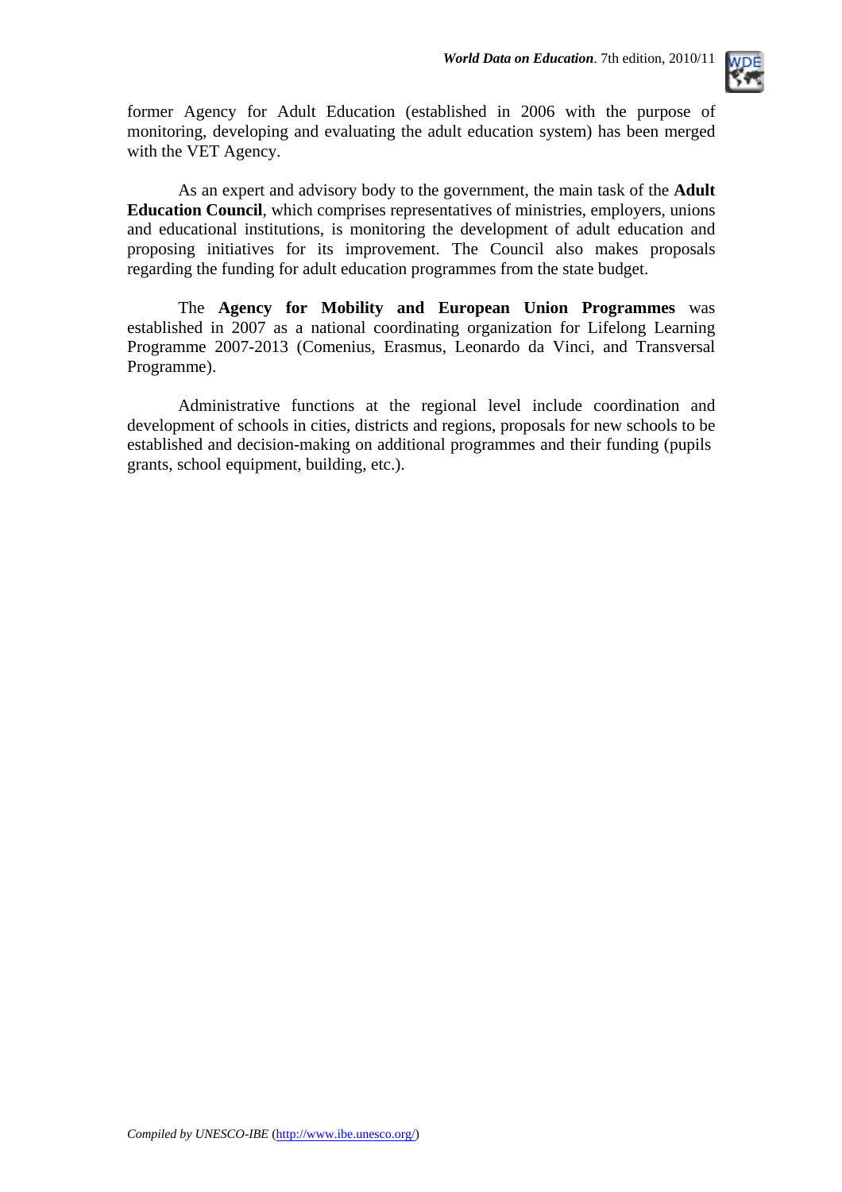

former Agency for Adult Education (established in 2006 with the purpose of monitoring, developing and evaluating the adult education system) has been merged with the VET Agency.

As an expert and advisory body to the government, the main task of the **Adult Education Council**, which comprises representatives of ministries, employers, unions and educational institutions, is monitoring the development of adult education and proposing initiatives for its improvement. The Council also makes proposals regarding the funding for adult education programmes from the state budget.

The **Agency for Mobility and European Union Programmes** was established in 2007 as a national coordinating organization for Lifelong Learning Programme 2007-2013 (Comenius, Erasmus, Leonardo da Vinci, and Transversal Programme).

Administrative functions at the regional level include coordination and development of schools in cities, districts and regions, proposals for new schools to be established and decision-making on additional programmes and their funding (pupils grants, school equipment, building, etc.).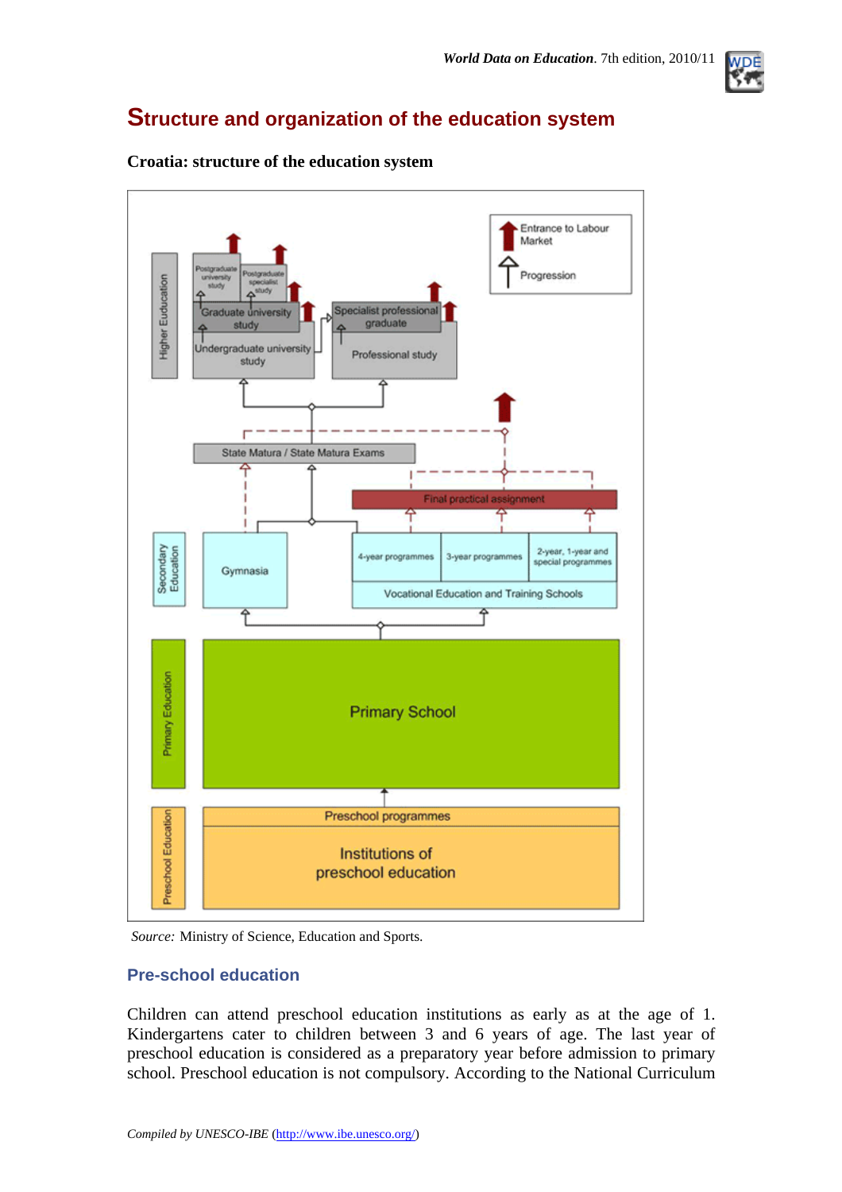

## **Structure and organization of the education system**



#### **Croatia: structure of the education system**

*Source:* Ministry of Science, Education and Sports.

### **Pre-school education**

Children can attend preschool education institutions as early as at the age of 1. Kindergartens cater to children between 3 and 6 years of age. The last year of preschool education is considered as a preparatory year before admission to primary school. Preschool education is not compulsory. According to the National Curriculum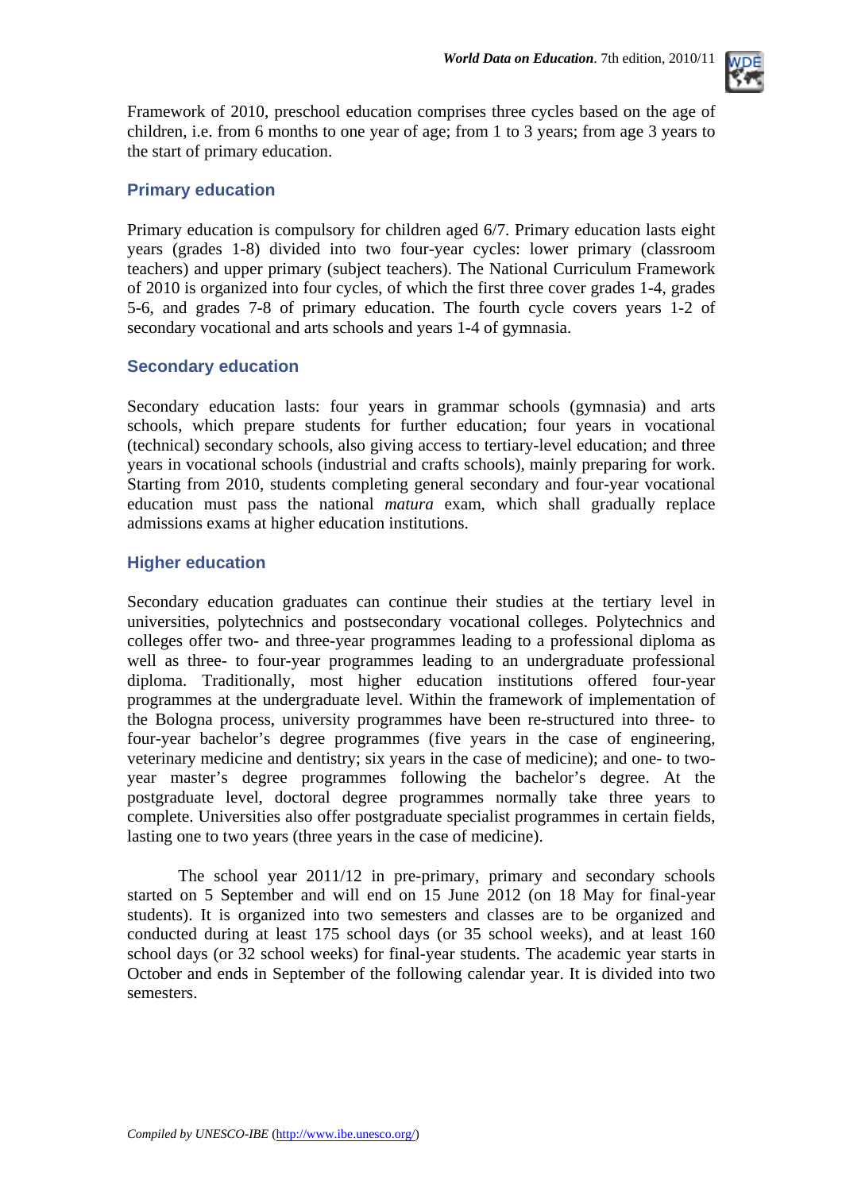

Framework of 2010, preschool education comprises three cycles based on the age of children, i.e. from 6 months to one year of age; from 1 to 3 years; from age 3 years to the start of primary education.

### **Primary education**

Primary education is compulsory for children aged 6/7. Primary education lasts eight years (grades 1-8) divided into two four-year cycles: lower primary (classroom teachers) and upper primary (subject teachers). The National Curriculum Framework of 2010 is organized into four cycles, of which the first three cover grades 1-4, grades 5-6, and grades 7-8 of primary education. The fourth cycle covers years 1-2 of secondary vocational and arts schools and years 1-4 of gymnasia.

### **Secondary education**

Secondary education lasts: four years in grammar schools (gymnasia) and arts schools, which prepare students for further education; four years in vocational (technical) secondary schools, also giving access to tertiary-level education; and three years in vocational schools (industrial and crafts schools), mainly preparing for work. Starting from 2010, students completing general secondary and four-year vocational education must pass the national *matura* exam, which shall gradually replace admissions exams at higher education institutions.

### **Higher education**

Secondary education graduates can continue their studies at the tertiary level in universities, polytechnics and postsecondary vocational colleges. Polytechnics and colleges offer two- and three-year programmes leading to a professional diploma as well as three- to four-year programmes leading to an undergraduate professional diploma. Traditionally, most higher education institutions offered four-year programmes at the undergraduate level. Within the framework of implementation of the Bologna process, university programmes have been re-structured into three- to four-year bachelor's degree programmes (five years in the case of engineering, veterinary medicine and dentistry; six years in the case of medicine); and one- to twoyear master's degree programmes following the bachelor's degree. At the postgraduate level, doctoral degree programmes normally take three years to complete. Universities also offer postgraduate specialist programmes in certain fields, lasting one to two years (three years in the case of medicine).

The school year 2011/12 in pre-primary, primary and secondary schools started on 5 September and will end on 15 June 2012 (on 18 May for final-year students). It is organized into two semesters and classes are to be organized and conducted during at least 175 school days (or 35 school weeks), and at least 160 school days (or 32 school weeks) for final-year students. The academic year starts in October and ends in September of the following calendar year. It is divided into two semesters.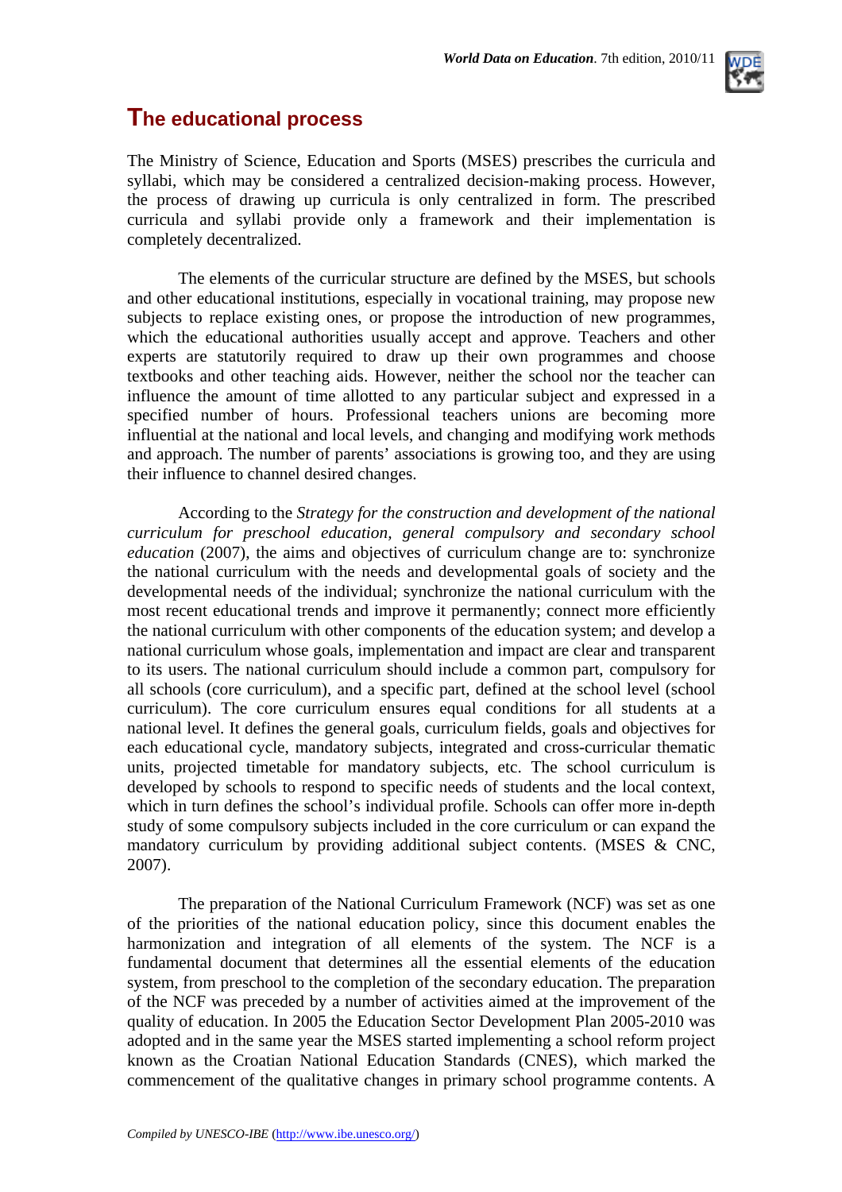# **The educational process**

The Ministry of Science, Education and Sports (MSES) prescribes the curricula and syllabi, which may be considered a centralized decision-making process. However, the process of drawing up curricula is only centralized in form. The prescribed curricula and syllabi provide only a framework and their implementation is completely decentralized.

The elements of the curricular structure are defined by the MSES, but schools and other educational institutions, especially in vocational training, may propose new subjects to replace existing ones, or propose the introduction of new programmes, which the educational authorities usually accept and approve. Teachers and other experts are statutorily required to draw up their own programmes and choose textbooks and other teaching aids. However, neither the school nor the teacher can influence the amount of time allotted to any particular subject and expressed in a specified number of hours. Professional teachers unions are becoming more influential at the national and local levels, and changing and modifying work methods and approach. The number of parents' associations is growing too, and they are using their influence to channel desired changes.

According to the *Strategy for the construction and development of the national curriculum for preschool education, general compulsory and secondary school education* (2007), the aims and objectives of curriculum change are to: synchronize the national curriculum with the needs and developmental goals of society and the developmental needs of the individual; synchronize the national curriculum with the most recent educational trends and improve it permanently; connect more efficiently the national curriculum with other components of the education system; and develop a national curriculum whose goals, implementation and impact are clear and transparent to its users. The national curriculum should include a common part, compulsory for all schools (core curriculum), and a specific part, defined at the school level (school curriculum). The core curriculum ensures equal conditions for all students at a national level. It defines the general goals, curriculum fields, goals and objectives for each educational cycle, mandatory subjects, integrated and cross-curricular thematic units, projected timetable for mandatory subjects, etc. The school curriculum is developed by schools to respond to specific needs of students and the local context, which in turn defines the school's individual profile. Schools can offer more in-depth study of some compulsory subjects included in the core curriculum or can expand the mandatory curriculum by providing additional subject contents. (MSES & CNC, 2007).

The preparation of the National Curriculum Framework (NCF) was set as one of the priorities of the national education policy, since this document enables the harmonization and integration of all elements of the system. The NCF is a fundamental document that determines all the essential elements of the education system, from preschool to the completion of the secondary education. The preparation of the NCF was preceded by a number of activities aimed at the improvement of the quality of education. In 2005 the Education Sector Development Plan 2005-2010 was adopted and in the same year the MSES started implementing a school reform project known as the Croatian National Education Standards (CNES), which marked the commencement of the qualitative changes in primary school programme contents. A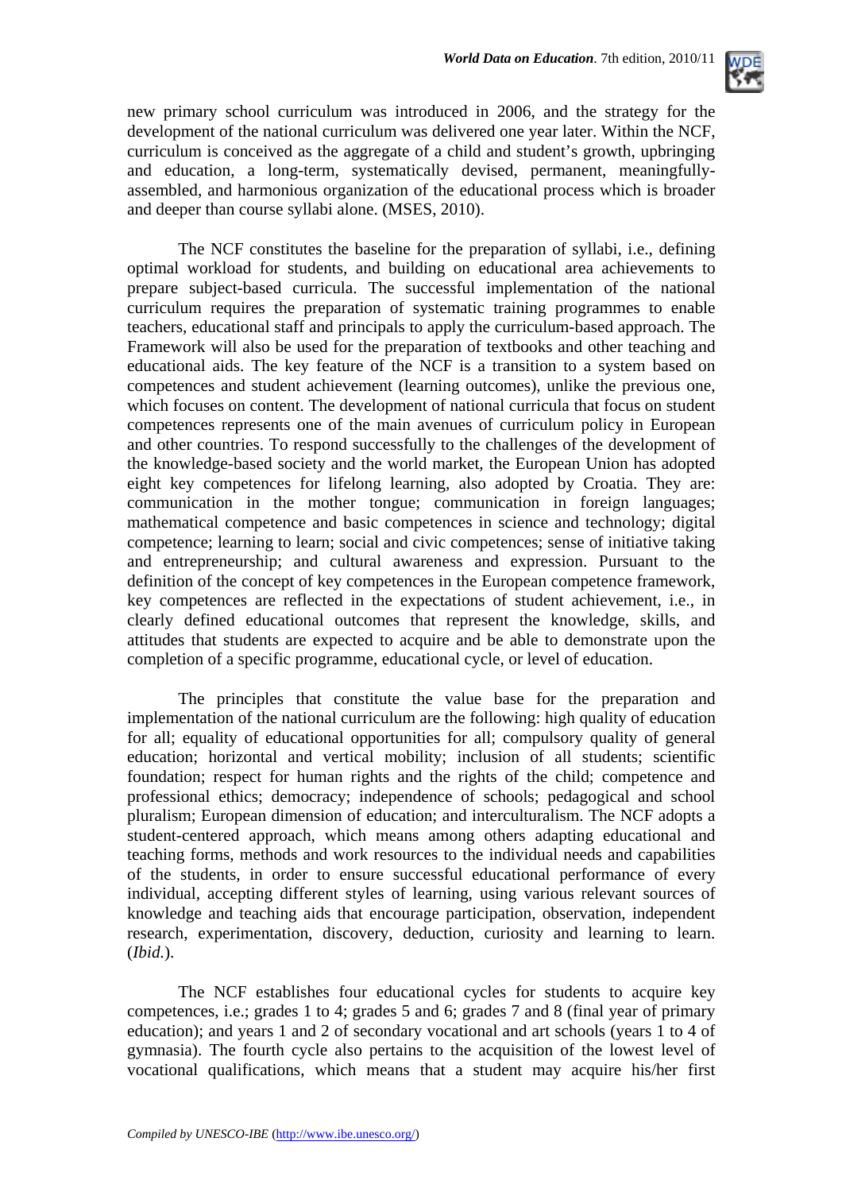

new primary school curriculum was introduced in 2006, and the strategy for the development of the national curriculum was delivered one year later. Within the NCF, curriculum is conceived as the aggregate of a child and student's growth, upbringing and education, a long-term, systematically devised, permanent, meaningfullyassembled, and harmonious organization of the educational process which is broader and deeper than course syllabi alone. (MSES, 2010).

The NCF constitutes the baseline for the preparation of syllabi, i.e., defining optimal workload for students, and building on educational area achievements to prepare subject-based curricula. The successful implementation of the national curriculum requires the preparation of systematic training programmes to enable teachers, educational staff and principals to apply the curriculum-based approach. The Framework will also be used for the preparation of textbooks and other teaching and educational aids. The key feature of the NCF is a transition to a system based on competences and student achievement (learning outcomes), unlike the previous one, which focuses on content. The development of national curricula that focus on student competences represents one of the main avenues of curriculum policy in European and other countries. To respond successfully to the challenges of the development of the knowledge-based society and the world market, the European Union has adopted eight key competences for lifelong learning, also adopted by Croatia. They are: communication in the mother tongue; communication in foreign languages; mathematical competence and basic competences in science and technology; digital competence; learning to learn; social and civic competences; sense of initiative taking and entrepreneurship; and cultural awareness and expression. Pursuant to the definition of the concept of key competences in the European competence framework, key competences are reflected in the expectations of student achievement, i.e., in clearly defined educational outcomes that represent the knowledge, skills, and attitudes that students are expected to acquire and be able to demonstrate upon the completion of a specific programme, educational cycle, or level of education.

The principles that constitute the value base for the preparation and implementation of the national curriculum are the following: high quality of education for all; equality of educational opportunities for all; compulsory quality of general education; horizontal and vertical mobility; inclusion of all students; scientific foundation; respect for human rights and the rights of the child; competence and professional ethics; democracy; independence of schools; pedagogical and school pluralism; European dimension of education; and interculturalism. The NCF adopts a student-centered approach, which means among others adapting educational and teaching forms, methods and work resources to the individual needs and capabilities of the students, in order to ensure successful educational performance of every individual, accepting different styles of learning, using various relevant sources of knowledge and teaching aids that encourage participation, observation, independent research, experimentation, discovery, deduction, curiosity and learning to learn. (*Ibid.*).

The NCF establishes four educational cycles for students to acquire key competences, i.e.; grades 1 to 4; grades 5 and 6; grades 7 and 8 (final year of primary education); and years 1 and 2 of secondary vocational and art schools (years 1 to 4 of gymnasia). The fourth cycle also pertains to the acquisition of the lowest level of vocational qualifications, which means that a student may acquire his/her first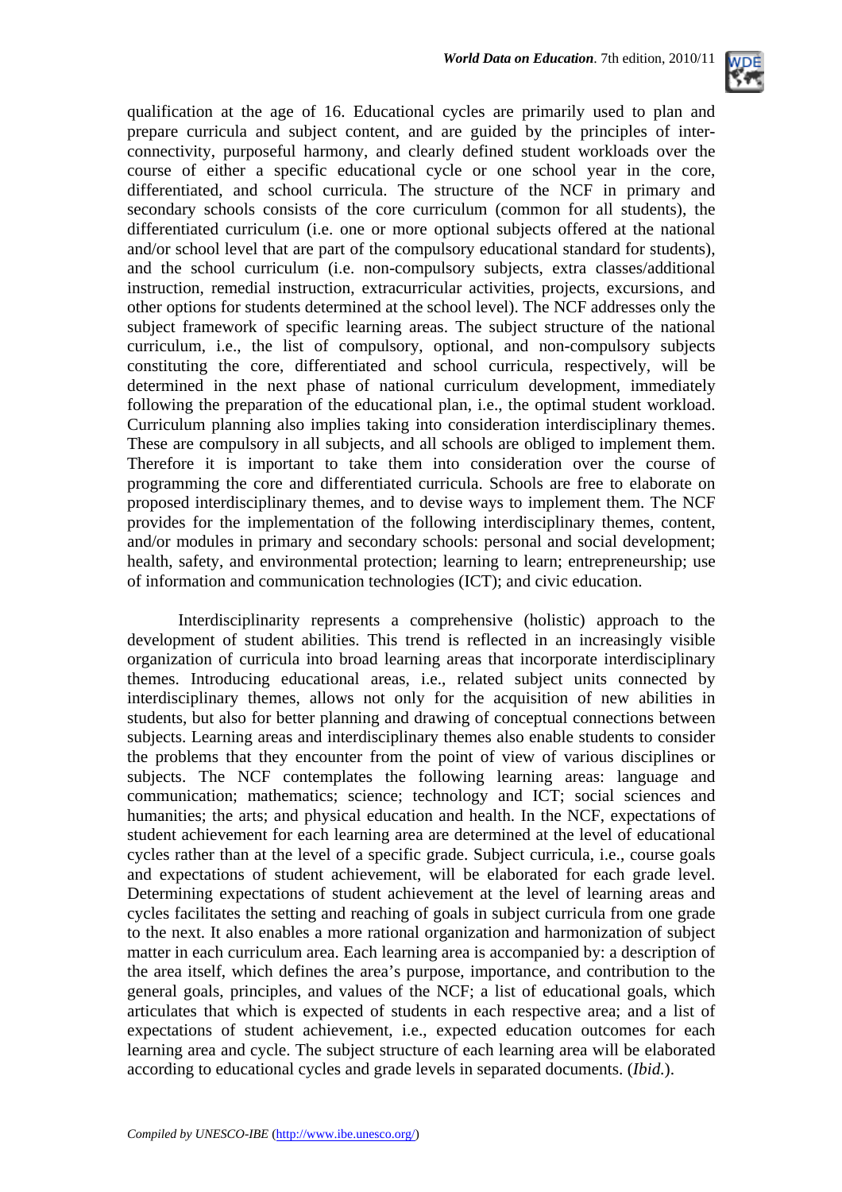

qualification at the age of 16. Educational cycles are primarily used to plan and prepare curricula and subject content, and are guided by the principles of interconnectivity, purposeful harmony, and clearly defined student workloads over the course of either a specific educational cycle or one school year in the core, differentiated, and school curricula. The structure of the NCF in primary and secondary schools consists of the core curriculum (common for all students), the differentiated curriculum (i.e. one or more optional subjects offered at the national and/or school level that are part of the compulsory educational standard for students), and the school curriculum (i.e. non-compulsory subjects, extra classes/additional instruction, remedial instruction, extracurricular activities, projects, excursions, and other options for students determined at the school level). The NCF addresses only the subject framework of specific learning areas. The subject structure of the national curriculum, i.e., the list of compulsory, optional, and non-compulsory subjects constituting the core, differentiated and school curricula, respectively, will be determined in the next phase of national curriculum development, immediately following the preparation of the educational plan, i.e., the optimal student workload. Curriculum planning also implies taking into consideration interdisciplinary themes. These are compulsory in all subjects, and all schools are obliged to implement them. Therefore it is important to take them into consideration over the course of programming the core and differentiated curricula. Schools are free to elaborate on proposed interdisciplinary themes, and to devise ways to implement them. The NCF provides for the implementation of the following interdisciplinary themes, content, and/or modules in primary and secondary schools: personal and social development; health, safety, and environmental protection; learning to learn; entrepreneurship; use of information and communication technologies (ICT); and civic education.

Interdisciplinarity represents a comprehensive (holistic) approach to the development of student abilities. This trend is reflected in an increasingly visible organization of curricula into broad learning areas that incorporate interdisciplinary themes. Introducing educational areas, i.e., related subject units connected by interdisciplinary themes, allows not only for the acquisition of new abilities in students, but also for better planning and drawing of conceptual connections between subjects. Learning areas and interdisciplinary themes also enable students to consider the problems that they encounter from the point of view of various disciplines or subjects. The NCF contemplates the following learning areas: language and communication; mathematics; science; technology and ICT; social sciences and humanities; the arts; and physical education and health. In the NCF, expectations of student achievement for each learning area are determined at the level of educational cycles rather than at the level of a specific grade. Subject curricula, i.e., course goals and expectations of student achievement, will be elaborated for each grade level. Determining expectations of student achievement at the level of learning areas and cycles facilitates the setting and reaching of goals in subject curricula from one grade to the next. It also enables a more rational organization and harmonization of subject matter in each curriculum area. Each learning area is accompanied by: a description of the area itself, which defines the area's purpose, importance, and contribution to the general goals, principles, and values of the NCF; a list of educational goals, which articulates that which is expected of students in each respective area; and a list of expectations of student achievement, i.e., expected education outcomes for each learning area and cycle. The subject structure of each learning area will be elaborated according to educational cycles and grade levels in separated documents. (*Ibid.*).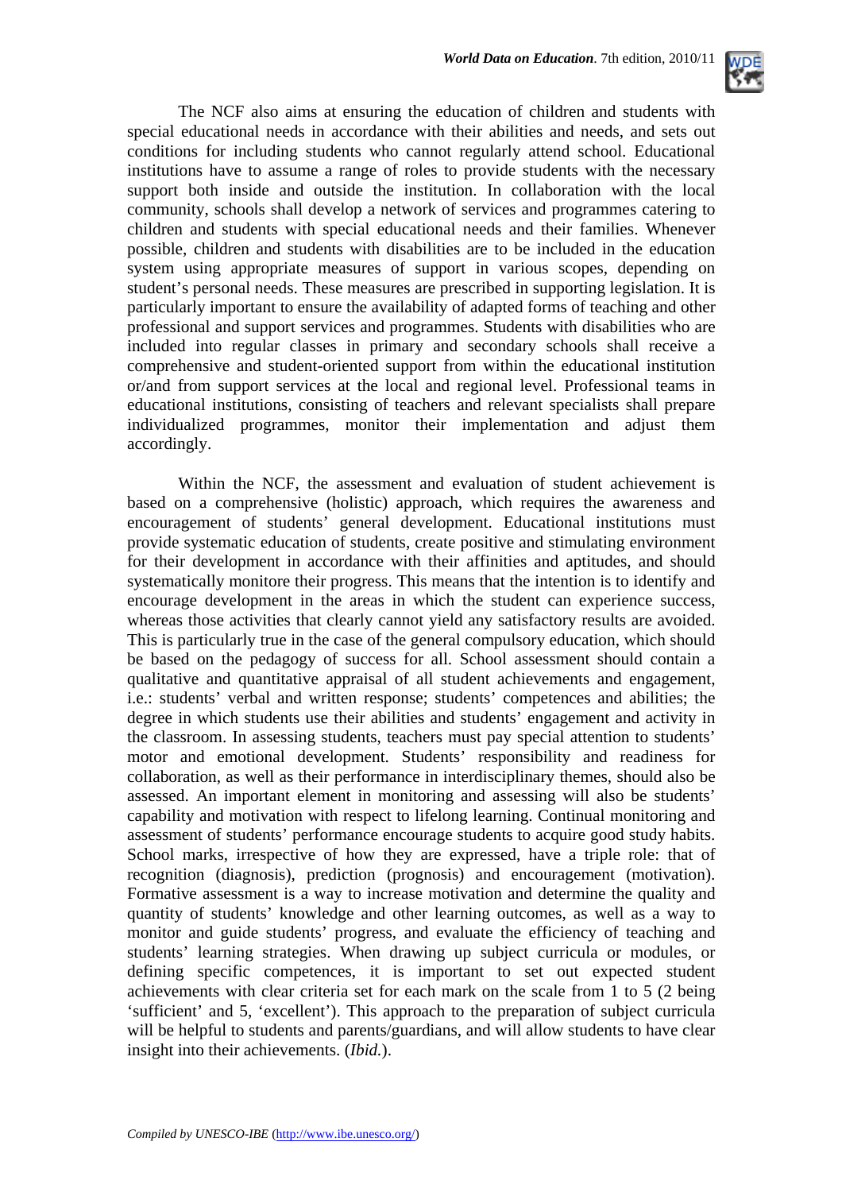

The NCF also aims at ensuring the education of children and students with special educational needs in accordance with their abilities and needs, and sets out conditions for including students who cannot regularly attend school. Educational institutions have to assume a range of roles to provide students with the necessary support both inside and outside the institution. In collaboration with the local community, schools shall develop a network of services and programmes catering to children and students with special educational needs and their families. Whenever possible, children and students with disabilities are to be included in the education system using appropriate measures of support in various scopes, depending on student's personal needs. These measures are prescribed in supporting legislation. It is particularly important to ensure the availability of adapted forms of teaching and other professional and support services and programmes. Students with disabilities who are included into regular classes in primary and secondary schools shall receive a comprehensive and student-oriented support from within the educational institution or/and from support services at the local and regional level. Professional teams in educational institutions, consisting of teachers and relevant specialists shall prepare individualized programmes, monitor their implementation and adjust them accordingly.

Within the NCF, the assessment and evaluation of student achievement is based on a comprehensive (holistic) approach, which requires the awareness and encouragement of students' general development. Educational institutions must provide systematic education of students, create positive and stimulating environment for their development in accordance with their affinities and aptitudes, and should systematically monitore their progress. This means that the intention is to identify and encourage development in the areas in which the student can experience success, whereas those activities that clearly cannot yield any satisfactory results are avoided. This is particularly true in the case of the general compulsory education, which should be based on the pedagogy of success for all. School assessment should contain a qualitative and quantitative appraisal of all student achievements and engagement, i.e.: students' verbal and written response; students' competences and abilities; the degree in which students use their abilities and students' engagement and activity in the classroom. In assessing students, teachers must pay special attention to students' motor and emotional development. Students' responsibility and readiness for collaboration, as well as their performance in interdisciplinary themes, should also be assessed. An important element in monitoring and assessing will also be students' capability and motivation with respect to lifelong learning. Continual monitoring and assessment of students' performance encourage students to acquire good study habits. School marks, irrespective of how they are expressed, have a triple role: that of recognition (diagnosis), prediction (prognosis) and encouragement (motivation). Formative assessment is a way to increase motivation and determine the quality and quantity of students' knowledge and other learning outcomes, as well as a way to monitor and guide students' progress, and evaluate the efficiency of teaching and students' learning strategies. When drawing up subject curricula or modules, or defining specific competences, it is important to set out expected student achievements with clear criteria set for each mark on the scale from 1 to 5 (2 being 'sufficient' and 5, 'excellent'). This approach to the preparation of subject curricula will be helpful to students and parents/guardians, and will allow students to have clear insight into their achievements. (*Ibid.*).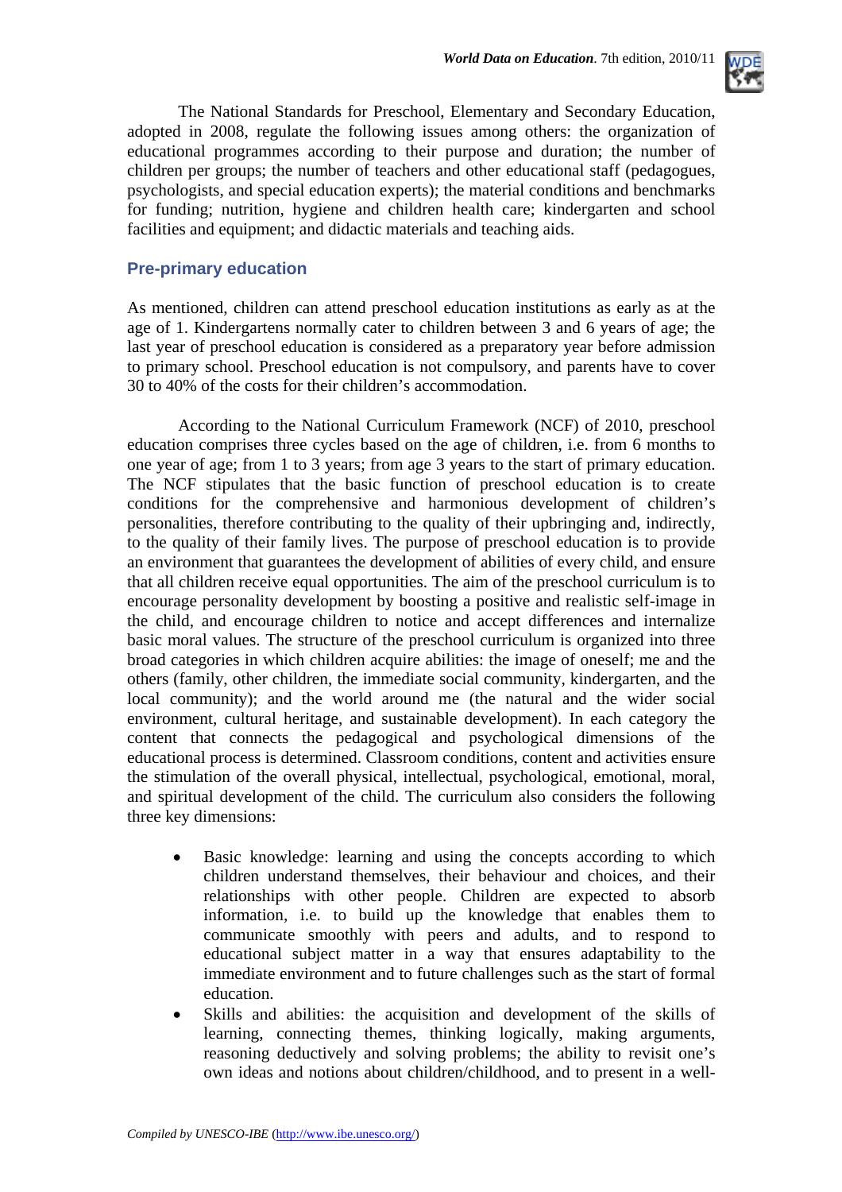

The National Standards for Preschool, Elementary and Secondary Education, adopted in 2008, regulate the following issues among others: the organization of educational programmes according to their purpose and duration; the number of children per groups; the number of teachers and other educational staff (pedagogues, psychologists, and special education experts); the material conditions and benchmarks for funding; nutrition, hygiene and children health care; kindergarten and school facilities and equipment; and didactic materials and teaching aids.

#### **Pre-primary education**

As mentioned, children can attend preschool education institutions as early as at the age of 1. Kindergartens normally cater to children between 3 and 6 years of age; the last year of preschool education is considered as a preparatory year before admission to primary school. Preschool education is not compulsory, and parents have to cover 30 to 40% of the costs for their children's accommodation.

According to the National Curriculum Framework (NCF) of 2010, preschool education comprises three cycles based on the age of children, i.e. from 6 months to one year of age; from 1 to 3 years; from age 3 years to the start of primary education. The NCF stipulates that the basic function of preschool education is to create conditions for the comprehensive and harmonious development of children's personalities, therefore contributing to the quality of their upbringing and, indirectly, to the quality of their family lives. The purpose of preschool education is to provide an environment that guarantees the development of abilities of every child, and ensure that all children receive equal opportunities. The aim of the preschool curriculum is to encourage personality development by boosting a positive and realistic self-image in the child, and encourage children to notice and accept differences and internalize basic moral values. The structure of the preschool curriculum is organized into three broad categories in which children acquire abilities: the image of oneself; me and the others (family, other children, the immediate social community, kindergarten, and the local community); and the world around me (the natural and the wider social environment, cultural heritage, and sustainable development). In each category the content that connects the pedagogical and psychological dimensions of the educational process is determined. Classroom conditions, content and activities ensure the stimulation of the overall physical, intellectual, psychological, emotional, moral, and spiritual development of the child. The curriculum also considers the following three key dimensions:

- Basic knowledge: learning and using the concepts according to which children understand themselves, their behaviour and choices, and their relationships with other people. Children are expected to absorb information, i.e. to build up the knowledge that enables them to communicate smoothly with peers and adults, and to respond to educational subject matter in a way that ensures adaptability to the immediate environment and to future challenges such as the start of formal education.
- Skills and abilities: the acquisition and development of the skills of learning, connecting themes, thinking logically, making arguments, reasoning deductively and solving problems; the ability to revisit one's own ideas and notions about children/childhood, and to present in a well-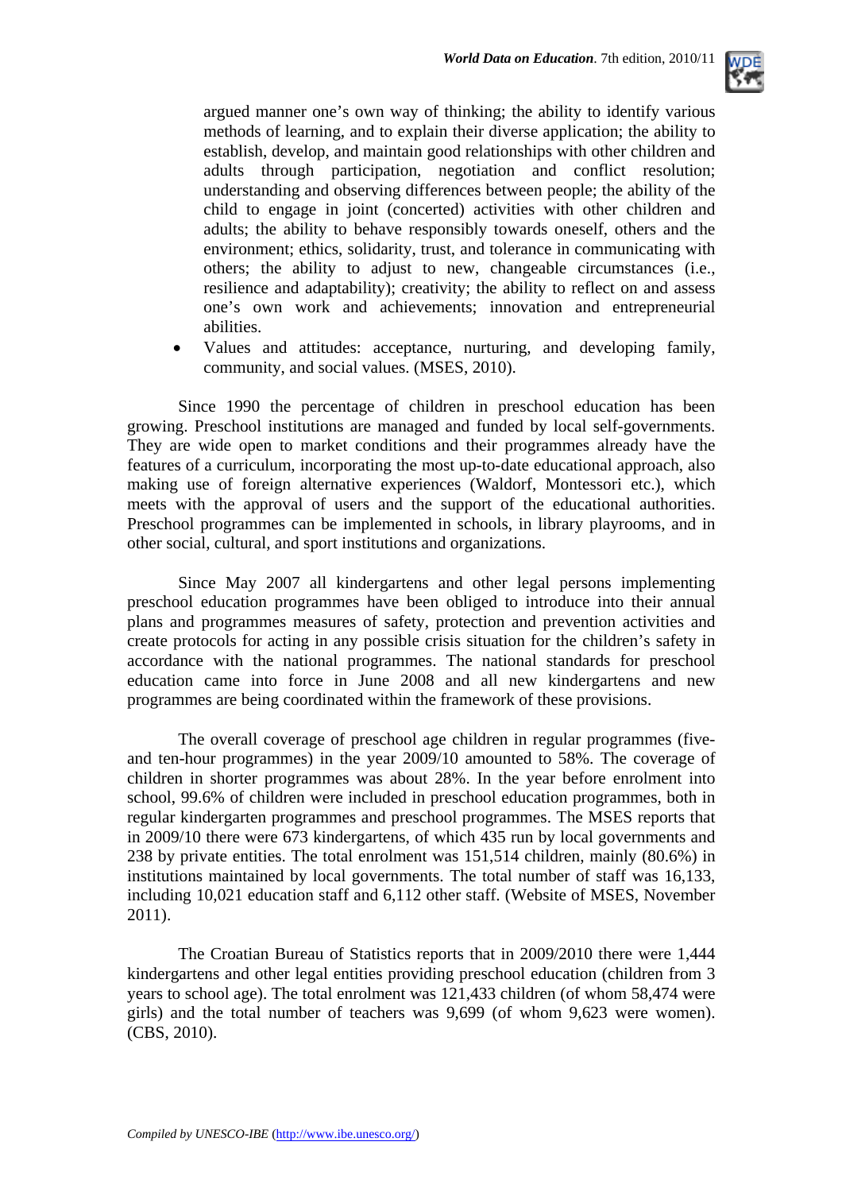

argued manner one's own way of thinking; the ability to identify various methods of learning, and to explain their diverse application; the ability to establish, develop, and maintain good relationships with other children and adults through participation, negotiation and conflict resolution; understanding and observing differences between people; the ability of the child to engage in joint (concerted) activities with other children and adults; the ability to behave responsibly towards oneself, others and the environment; ethics, solidarity, trust, and tolerance in communicating with others; the ability to adjust to new, changeable circumstances (i.e., resilience and adaptability); creativity; the ability to reflect on and assess one's own work and achievements; innovation and entrepreneurial abilities.

• Values and attitudes: acceptance, nurturing, and developing family, community, and social values. (MSES, 2010).

Since 1990 the percentage of children in preschool education has been growing. Preschool institutions are managed and funded by local self-governments. They are wide open to market conditions and their programmes already have the features of a curriculum, incorporating the most up-to-date educational approach, also making use of foreign alternative experiences (Waldorf, Montessori etc.), which meets with the approval of users and the support of the educational authorities. Preschool programmes can be implemented in schools, in library playrooms, and in other social, cultural, and sport institutions and organizations.

Since May 2007 all kindergartens and other legal persons implementing preschool education programmes have been obliged to introduce into their annual plans and programmes measures of safety, protection and prevention activities and create protocols for acting in any possible crisis situation for the children's safety in accordance with the national programmes. The national standards for preschool education came into force in June 2008 and all new kindergartens and new programmes are being coordinated within the framework of these provisions.

The overall coverage of preschool age children in regular programmes (fiveand ten-hour programmes) in the year 2009/10 amounted to 58%. The coverage of children in shorter programmes was about 28%. In the year before enrolment into school, 99.6% of children were included in preschool education programmes, both in regular kindergarten programmes and preschool programmes. The MSES reports that in 2009/10 there were 673 kindergartens, of which 435 run by local governments and 238 by private entities. The total enrolment was 151,514 children, mainly (80.6%) in institutions maintained by local governments. The total number of staff was 16,133, including 10,021 education staff and 6,112 other staff. (Website of MSES, November 2011).

 The Croatian Bureau of Statistics reports that in 2009/2010 there were 1,444 kindergartens and other legal entities providing preschool education (children from 3 years to school age). The total enrolment was 121,433 children (of whom 58,474 were girls) and the total number of teachers was 9,699 (of whom 9,623 were women). (CBS, 2010).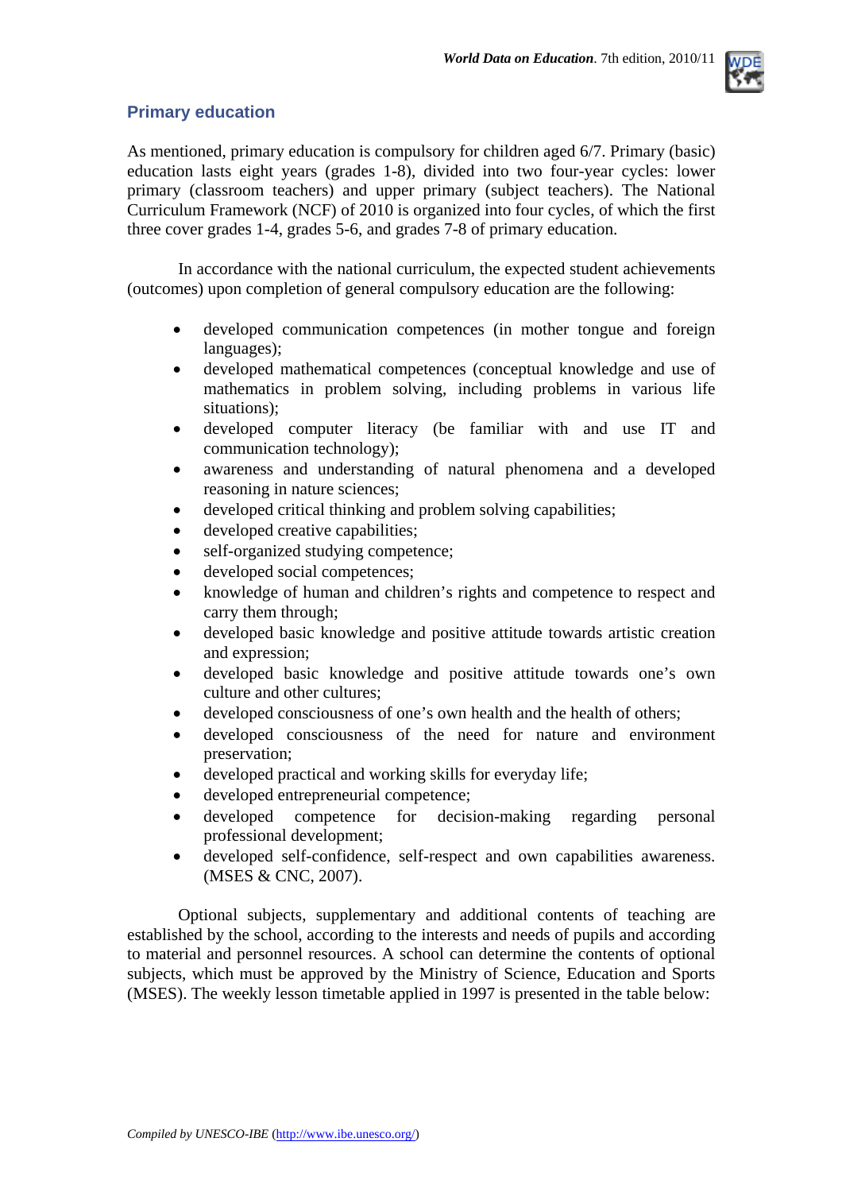

### **Primary education**

As mentioned, primary education is compulsory for children aged 6/7. Primary (basic) education lasts eight years (grades 1-8), divided into two four-year cycles: lower primary (classroom teachers) and upper primary (subject teachers). The National Curriculum Framework (NCF) of 2010 is organized into four cycles, of which the first three cover grades 1-4, grades 5-6, and grades 7-8 of primary education.

In accordance with the national curriculum, the expected student achievements (outcomes) upon completion of general compulsory education are the following:

- developed communication competences (in mother tongue and foreign languages);
- developed mathematical competences (conceptual knowledge and use of mathematics in problem solving, including problems in various life situations);
- developed computer literacy (be familiar with and use IT and communication technology);
- awareness and understanding of natural phenomena and a developed reasoning in nature sciences;
- developed critical thinking and problem solving capabilities;
- developed creative capabilities;
- self-organized studying competence;
- developed social competences;
- knowledge of human and children's rights and competence to respect and carry them through;
- developed basic knowledge and positive attitude towards artistic creation and expression;
- developed basic knowledge and positive attitude towards one's own culture and other cultures;
- developed consciousness of one's own health and the health of others;
- developed consciousness of the need for nature and environment preservation;
- developed practical and working skills for everyday life;
- developed entrepreneurial competence;
- developed competence for decision-making regarding personal professional development;
- developed self-confidence, self-respect and own capabilities awareness. (MSES & CNC, 2007).

Optional subjects, supplementary and additional contents of teaching are established by the school, according to the interests and needs of pupils and according to material and personnel resources. A school can determine the contents of optional subjects, which must be approved by the Ministry of Science, Education and Sports (MSES). The weekly lesson timetable applied in 1997 is presented in the table below: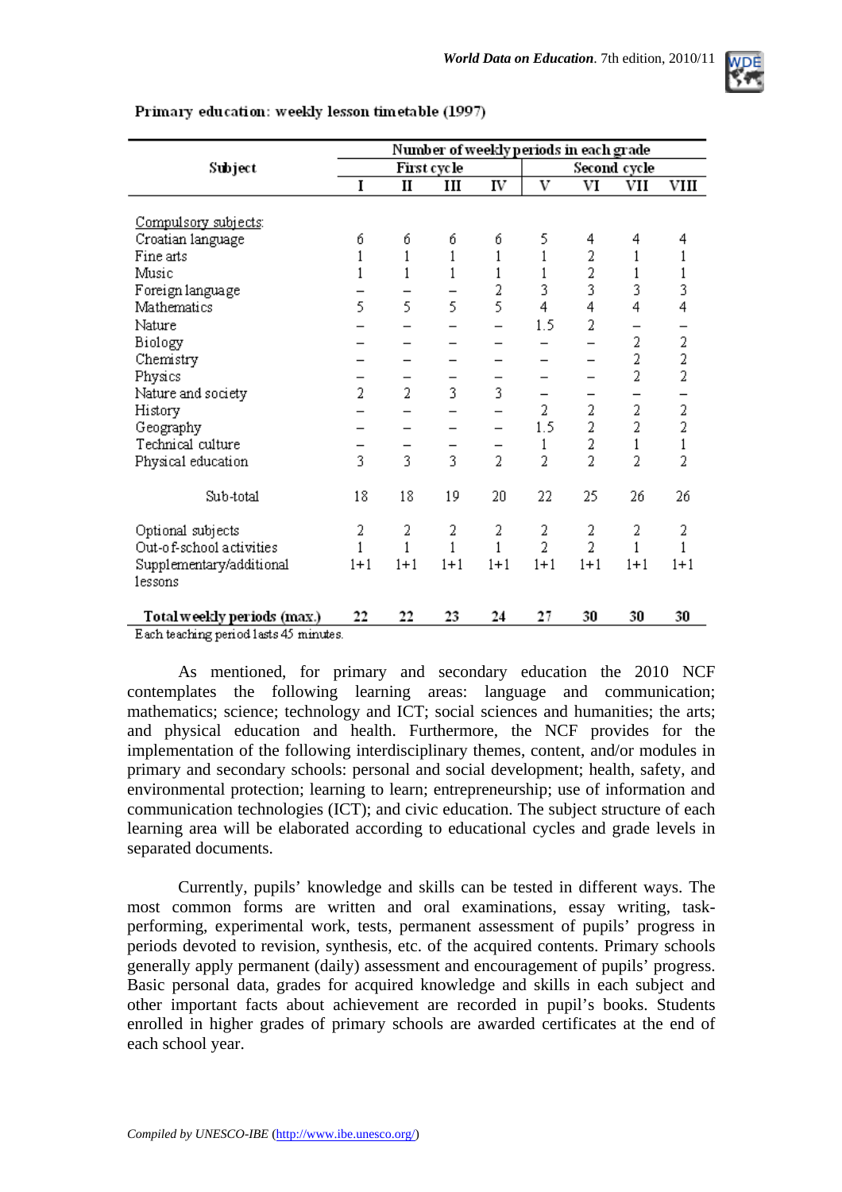

|                                        | Number of weekly periods in each grade |                |         |                |                |                |                |                |  |
|----------------------------------------|----------------------------------------|----------------|---------|----------------|----------------|----------------|----------------|----------------|--|
| Subject                                | First cycle                            |                |         |                | Second cycle   |                |                |                |  |
|                                        | I                                      | $\mathbf{I}$   | Ш       | IV             | V              | VI             | VII            | VIII           |  |
|                                        |                                        |                |         |                |                |                |                |                |  |
| Compulsory subjects:                   |                                        |                |         |                |                |                |                |                |  |
| Croatian language                      | б                                      | б              | б       | б              | 5              | 4              | 4              | 4              |  |
| Fine arts                              | 1                                      | 1              | 1       | 1              |                | 2              | 1              |                |  |
| Music                                  |                                        | 1              | 1       | 1              |                | 2              |                | $\,1$          |  |
| Foreign language                       |                                        |                |         | 2              | 3              | 3              | 3              | 3              |  |
| Mathematics                            | 5                                      | 5              | 5       | 5              | 4              | 4              | 4              | 4              |  |
| Nature                                 |                                        |                |         |                | 1.5            | 2              |                |                |  |
| Biology                                |                                        |                |         |                |                |                | 2              | $\overline{a}$ |  |
| Chemistry                              |                                        |                |         |                |                |                | 2              | $\frac{2}{2}$  |  |
| Physics                                |                                        |                |         |                |                |                | $\overline{2}$ |                |  |
| Nature and society                     | $\overline{2}$                         | $\overline{2}$ | 3       | 3              |                |                |                |                |  |
| History                                |                                        |                |         |                | $\overline{2}$ | 2              | 2              | $\frac{1}{2}$  |  |
| Geography                              |                                        |                |         |                | 1.5            | $\overline{2}$ | $\overline{2}$ |                |  |
| Technical culture                      |                                        |                |         |                | 1              | 2              | 1              | $\,1$          |  |
| Physical education                     | 3                                      | 3              | 3       | $\overline{2}$ | $\overline{2}$ | $\overline{2}$ | $\overline{2}$ | $\overline{2}$ |  |
|                                        |                                        |                |         |                |                |                |                |                |  |
| Sub-total                              | 18                                     | 18             | 19      | $20\,$         | 22             | 25             | 26             | 26             |  |
| Optional subjects                      | 2                                      | 2              | 2       | 2              | 2              | 2              | 2              | 2              |  |
| Out-of-school activities               | 1                                      | 1              | 1       | 1              | $\overline{2}$ | $\overline{2}$ | 1              | 1              |  |
| Supplementary/additional               | $1+1$                                  | $1 + 1$        | $1 + 1$ | $1 + 1$        | $1 + 1$        | $1 + 1$        | $1 + 1$        | $1 + 1$        |  |
| lessons                                |                                        |                |         |                |                |                |                |                |  |
|                                        |                                        |                |         |                |                |                |                |                |  |
| Total weekly periods (max.)            | 22                                     | 22             | 23      | 24             | 27             | 30             | 30             | 30             |  |
| Each teaching period lasts 45 minutes. |                                        |                |         |                |                |                |                |                |  |

#### Primary education: weekly lesson timetable (1997)

As mentioned, for primary and secondary education the 2010 NCF contemplates the following learning areas: language and communication; mathematics; science; technology and ICT; social sciences and humanities; the arts; and physical education and health. Furthermore, the NCF provides for the implementation of the following interdisciplinary themes, content, and/or modules in primary and secondary schools: personal and social development; health, safety, and environmental protection; learning to learn; entrepreneurship; use of information and communication technologies (ICT); and civic education. The subject structure of each learning area will be elaborated according to educational cycles and grade levels in separated documents.

Currently, pupils' knowledge and skills can be tested in different ways. The most common forms are written and oral examinations, essay writing, taskperforming, experimental work, tests, permanent assessment of pupils' progress in periods devoted to revision, synthesis, etc. of the acquired contents. Primary schools generally apply permanent (daily) assessment and encouragement of pupils' progress. Basic personal data, grades for acquired knowledge and skills in each subject and other important facts about achievement are recorded in pupil's books. Students enrolled in higher grades of primary schools are awarded certificates at the end of each school year.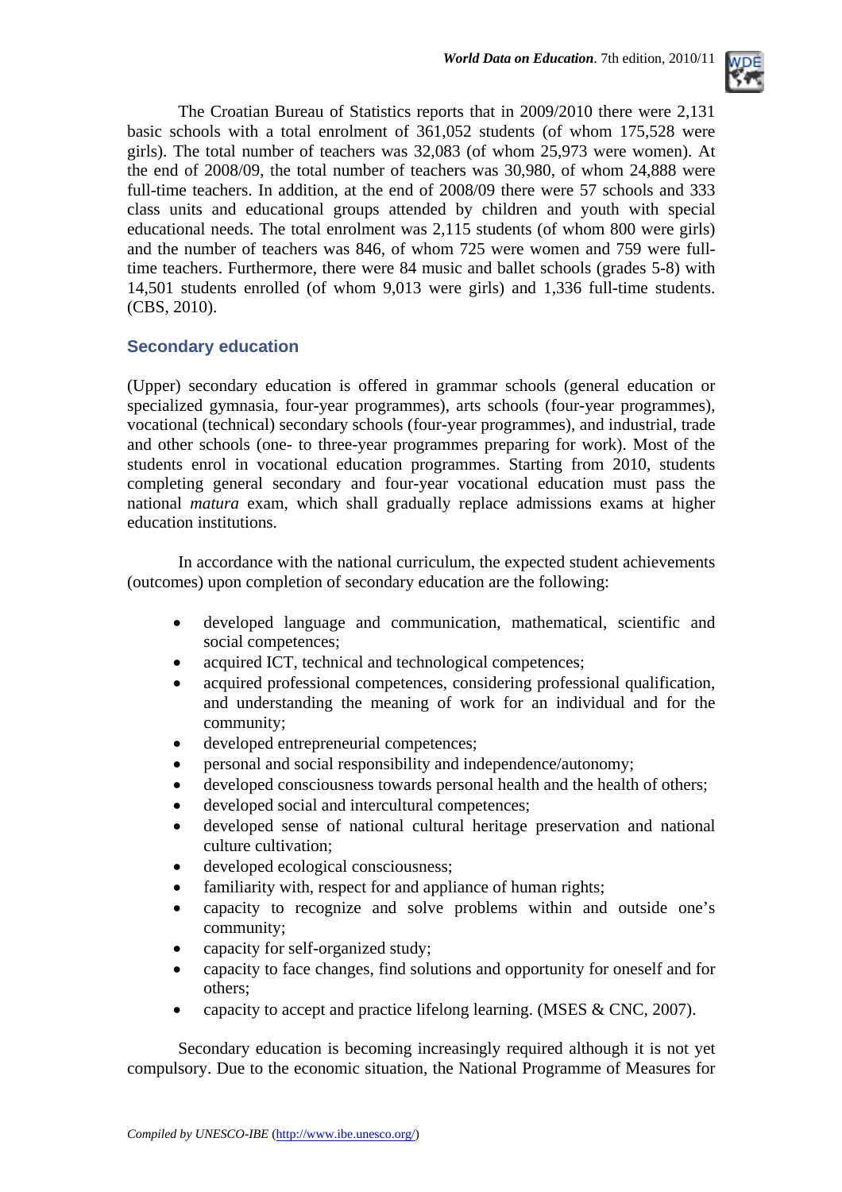

The Croatian Bureau of Statistics reports that in 2009/2010 there were 2,131 basic schools with a total enrolment of 361,052 students (of whom 175,528 were girls). The total number of teachers was 32,083 (of whom 25,973 were women). At the end of 2008/09, the total number of teachers was 30,980, of whom 24,888 were full-time teachers. In addition, at the end of 2008/09 there were 57 schools and 333 class units and educational groups attended by children and youth with special educational needs. The total enrolment was 2,115 students (of whom 800 were girls) and the number of teachers was 846, of whom 725 were women and 759 were fulltime teachers. Furthermore, there were 84 music and ballet schools (grades 5-8) with 14,501 students enrolled (of whom 9,013 were girls) and 1,336 full-time students. (CBS, 2010).

### **Secondary education**

(Upper) secondary education is offered in grammar schools (general education or specialized gymnasia, four-year programmes), arts schools (four-year programmes), vocational (technical) secondary schools (four-year programmes), and industrial, trade and other schools (one- to three-year programmes preparing for work). Most of the students enrol in vocational education programmes. Starting from 2010, students completing general secondary and four-year vocational education must pass the national *matura* exam, which shall gradually replace admissions exams at higher education institutions.

In accordance with the national curriculum, the expected student achievements (outcomes) upon completion of secondary education are the following:

- developed language and communication, mathematical, scientific and social competences;
- acquired ICT, technical and technological competences:
- acquired professional competences, considering professional qualification, and understanding the meaning of work for an individual and for the community;
- developed entrepreneurial competences:
- personal and social responsibility and independence/autonomy;
- developed consciousness towards personal health and the health of others;
- developed social and intercultural competences;
- developed sense of national cultural heritage preservation and national culture cultivation;
- developed ecological consciousness;
- familiarity with, respect for and appliance of human rights;
- capacity to recognize and solve problems within and outside one's community;
- capacity for self-organized study;
- capacity to face changes, find solutions and opportunity for oneself and for others;
- capacity to accept and practice lifelong learning. (MSES & CNC, 2007).

Secondary education is becoming increasingly required although it is not yet compulsory. Due to the economic situation, the National Programme of Measures for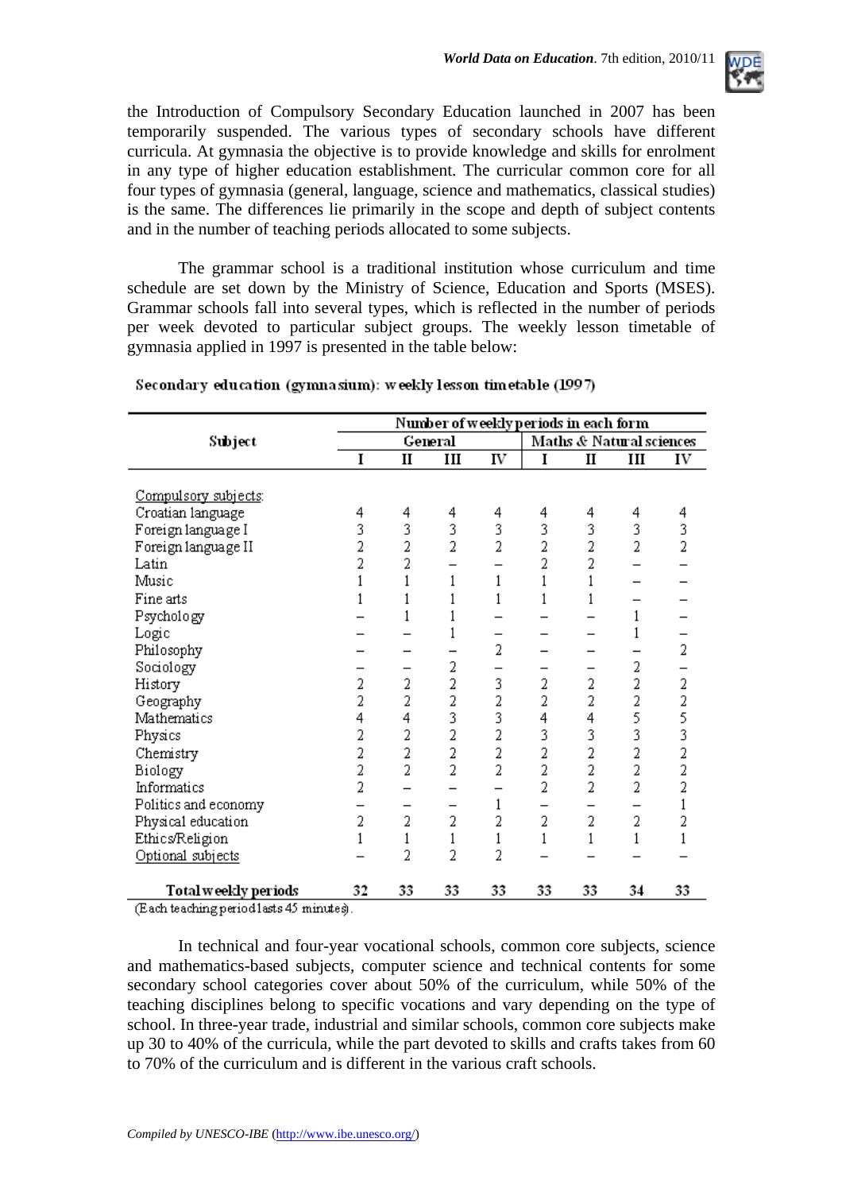

the Introduction of Compulsory Secondary Education launched in 2007 has been temporarily suspended. The various types of secondary schools have different curricula. At gymnasia the objective is to provide knowledge and skills for enrolment in any type of higher education establishment. The curricular common core for all four types of gymnasia (general, language, science and mathematics, classical studies) is the same. The differences lie primarily in the scope and depth of subject contents and in the number of teaching periods allocated to some subjects.

The grammar school is a traditional institution whose curriculum and time schedule are set down by the Ministry of Science, Education and Sports (MSES). Grammar schools fall into several types, which is reflected in the number of periods per week devoted to particular subject groups. The weekly lesson timetable of gymnasia applied in 1997 is presented in the table below:

|                      | Number of weekly periods in each form |                |                |                |                          |              |     |                |
|----------------------|---------------------------------------|----------------|----------------|----------------|--------------------------|--------------|-----|----------------|
| Subject              | General                               |                |                |                | Maths & Natural sciences |              |     |                |
|                      | I                                     | $\mathbf{I}$   | III            | IV             | I                        | $\mathbf{I}$ | III | IV             |
|                      |                                       |                |                |                |                          |              |     |                |
| Compulsory subjects: |                                       |                |                |                |                          |              |     |                |
| Croatian language    | 4                                     | 4              | 4              | 4              | 4                        | 4            | 4   | 4              |
| Foreign language I   | 3                                     | 3              | 3              | 3              | 3                        | 3            | 3   | 3              |
| Foreign language II  | 2                                     | 2              | $\overline{2}$ | 2              | 2                        | 2            | 2   | $\overline{2}$ |
| Latin                | 2                                     | 2              |                |                | 2                        | 2            |     |                |
| Music                |                                       |                |                | 1              |                          |              |     |                |
| Fine arts            |                                       |                |                |                |                          |              |     |                |
| Psychology           |                                       |                |                |                |                          |              | 1   |                |
| Logic                |                                       |                |                |                |                          |              |     |                |
| Philosophy           |                                       |                |                | 2              |                          |              |     | 2              |
| Sociology            |                                       |                | 2              |                |                          |              | 2   |                |
| History              | 2                                     | 2              | 2              | 3              | 2                        | 2            | 2   | 2              |
| Geography            | 2                                     | 2              | 2              | 2              | 2                        | 2            | 2   |                |
| Mathematics          | 4                                     | 4              | 3              | 3              | 4                        | 4            | 5   | $\frac{2}{5}$  |
| Physics              | 2                                     | 2              | 2              | 2              | 3                        | 3            | 3   |                |
| Chemistry            | 2                                     | 2              | 2              | 2              | 2                        | 2            | 2   | $\overline{2}$ |
| Biology              | 2                                     | $\overline{2}$ | $\overline{2}$ | $\overline{2}$ | 2                        | 2            | 2   | $\overline{a}$ |
| Informatics          | 2                                     |                |                |                | 2                        | 2            | 2   | $\overline{2}$ |
| Politics and economy |                                       |                |                |                |                          |              |     |                |
| Physical education   | 2                                     | 2              | 2              | 2              | 2                        | 2            | 2   |                |
| Ethics/Religion      |                                       | $1\,$          | 1              |                |                          |              | 1   |                |
| Optional subjects    |                                       | 2              | $\overline{2}$ | 2              |                          |              |     |                |
|                      |                                       |                |                |                |                          |              |     |                |
| Total weekly periods | 32                                    | 33             | 33             | 33             | 33                       | 33           | 34  | 33             |

#### Secondary education (gymnasium): weekly lesson timetable (1997)

(Each teaching period lasts 45 minutes).

In technical and four-year vocational schools, common core subjects, science and mathematics-based subjects, computer science and technical contents for some secondary school categories cover about 50% of the curriculum, while 50% of the teaching disciplines belong to specific vocations and vary depending on the type of school. In three-year trade, industrial and similar schools, common core subjects make up 30 to 40% of the curricula, while the part devoted to skills and crafts takes from 60 to 70% of the curriculum and is different in the various craft schools.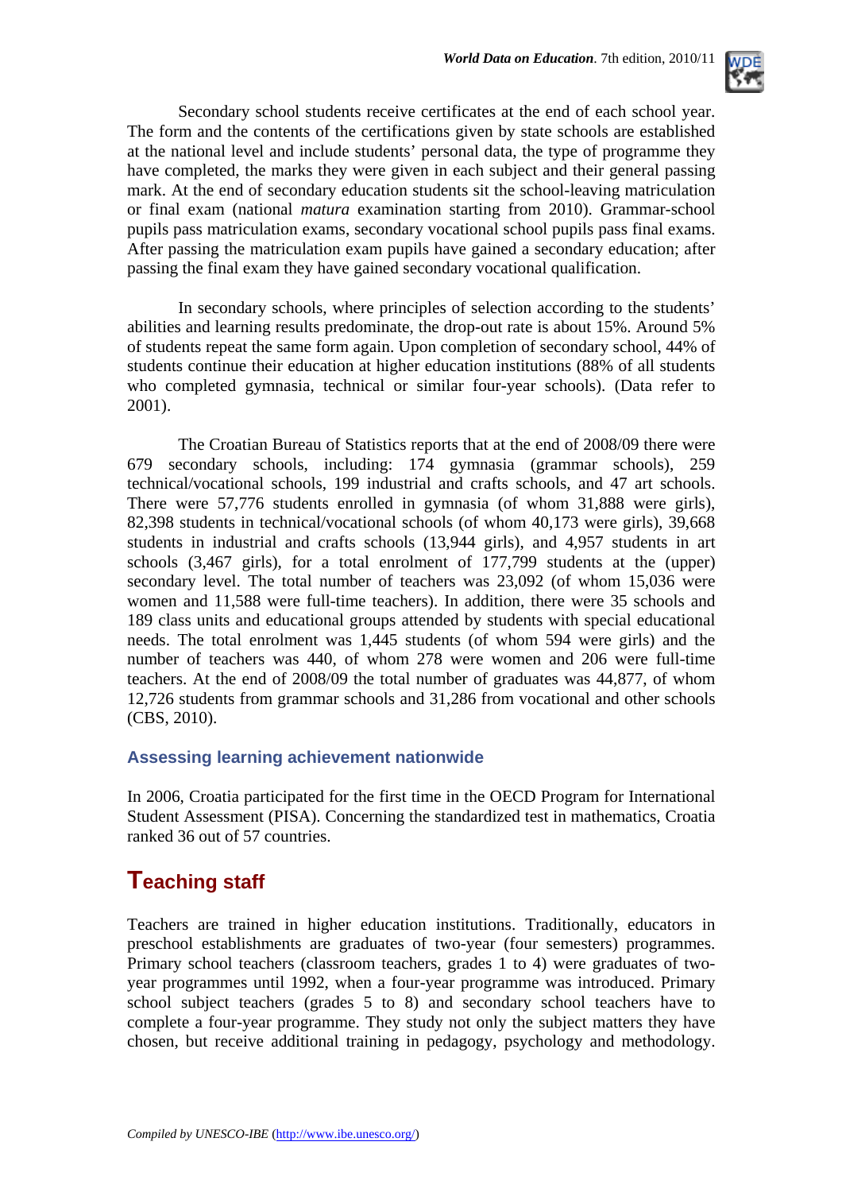

Secondary school students receive certificates at the end of each school year. The form and the contents of the certifications given by state schools are established at the national level and include students' personal data, the type of programme they have completed, the marks they were given in each subject and their general passing mark. At the end of secondary education students sit the school-leaving matriculation or final exam (national *matura* examination starting from 2010). Grammar-school pupils pass matriculation exams, secondary vocational school pupils pass final exams. After passing the matriculation exam pupils have gained a secondary education; after passing the final exam they have gained secondary vocational qualification.

In secondary schools, where principles of selection according to the students' abilities and learning results predominate, the drop-out rate is about 15%. Around 5% of students repeat the same form again. Upon completion of secondary school, 44% of students continue their education at higher education institutions (88% of all students who completed gymnasia, technical or similar four-year schools). (Data refer to 2001).

The Croatian Bureau of Statistics reports that at the end of 2008/09 there were 679 secondary schools, including: 174 gymnasia (grammar schools), 259 technical/vocational schools, 199 industrial and crafts schools, and 47 art schools. There were 57,776 students enrolled in gymnasia (of whom 31,888 were girls), 82,398 students in technical/vocational schools (of whom 40,173 were girls), 39,668 students in industrial and crafts schools (13,944 girls), and 4,957 students in art schools (3,467 girls), for a total enrolment of 177,799 students at the (upper) secondary level. The total number of teachers was 23,092 (of whom 15,036 were women and 11,588 were full-time teachers). In addition, there were 35 schools and 189 class units and educational groups attended by students with special educational needs. The total enrolment was 1,445 students (of whom 594 were girls) and the number of teachers was 440, of whom 278 were women and 206 were full-time teachers. At the end of 2008/09 the total number of graduates was 44,877, of whom 12,726 students from grammar schools and 31,286 from vocational and other schools (CBS, 2010).

### **Assessing learning achievement nationwide**

In 2006, Croatia participated for the first time in the OECD Program for International Student Assessment (PISA). Concerning the standardized test in mathematics, Croatia ranked 36 out of 57 countries.

## **Teaching staff**

Teachers are trained in higher education institutions. Traditionally, educators in preschool establishments are graduates of two-year (four semesters) programmes. Primary school teachers (classroom teachers, grades 1 to 4) were graduates of twoyear programmes until 1992, when a four-year programme was introduced. Primary school subject teachers (grades 5 to 8) and secondary school teachers have to complete a four-year programme. They study not only the subject matters they have chosen, but receive additional training in pedagogy, psychology and methodology.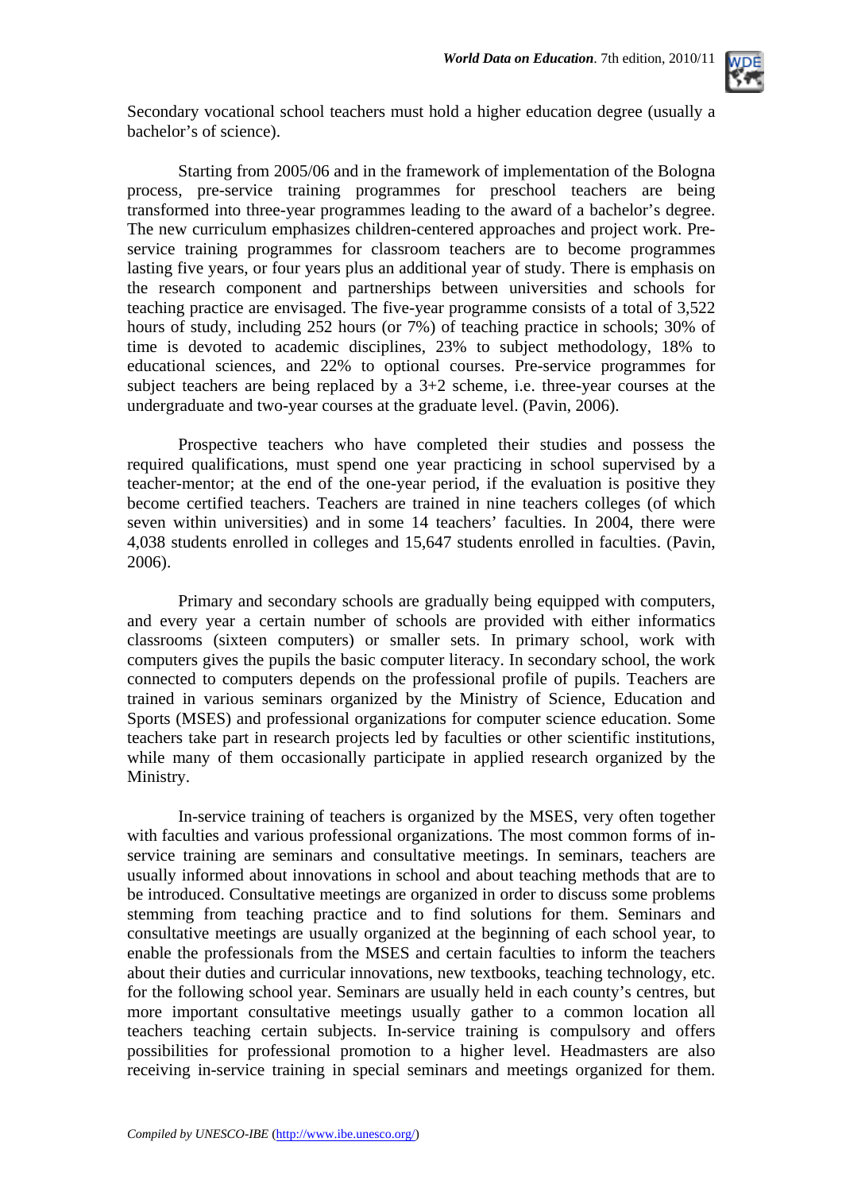

Secondary vocational school teachers must hold a higher education degree (usually a bachelor's of science).

 Starting from 2005/06 and in the framework of implementation of the Bologna process, pre-service training programmes for preschool teachers are being transformed into three-year programmes leading to the award of a bachelor's degree. The new curriculum emphasizes children-centered approaches and project work. Preservice training programmes for classroom teachers are to become programmes lasting five years, or four years plus an additional year of study. There is emphasis on the research component and partnerships between universities and schools for teaching practice are envisaged. The five-year programme consists of a total of 3,522 hours of study, including 252 hours (or 7%) of teaching practice in schools; 30% of time is devoted to academic disciplines, 23% to subject methodology, 18% to educational sciences, and 22% to optional courses. Pre-service programmes for subject teachers are being replaced by a 3+2 scheme, i.e. three-year courses at the undergraduate and two-year courses at the graduate level. (Pavin, 2006).

Prospective teachers who have completed their studies and possess the required qualifications, must spend one year practicing in school supervised by a teacher-mentor; at the end of the one-year period, if the evaluation is positive they become certified teachers. Teachers are trained in nine teachers colleges (of which seven within universities) and in some 14 teachers' faculties. In 2004, there were 4,038 students enrolled in colleges and 15,647 students enrolled in faculties. (Pavin, 2006).

Primary and secondary schools are gradually being equipped with computers, and every year a certain number of schools are provided with either informatics classrooms (sixteen computers) or smaller sets. In primary school, work with computers gives the pupils the basic computer literacy. In secondary school, the work connected to computers depends on the professional profile of pupils. Teachers are trained in various seminars organized by the Ministry of Science, Education and Sports (MSES) and professional organizations for computer science education. Some teachers take part in research projects led by faculties or other scientific institutions, while many of them occasionally participate in applied research organized by the Ministry.

In-service training of teachers is organized by the MSES, very often together with faculties and various professional organizations. The most common forms of inservice training are seminars and consultative meetings. In seminars, teachers are usually informed about innovations in school and about teaching methods that are to be introduced. Consultative meetings are organized in order to discuss some problems stemming from teaching practice and to find solutions for them. Seminars and consultative meetings are usually organized at the beginning of each school year, to enable the professionals from the MSES and certain faculties to inform the teachers about their duties and curricular innovations, new textbooks, teaching technology, etc. for the following school year. Seminars are usually held in each county's centres, but more important consultative meetings usually gather to a common location all teachers teaching certain subjects. In-service training is compulsory and offers possibilities for professional promotion to a higher level. Headmasters are also receiving in-service training in special seminars and meetings organized for them.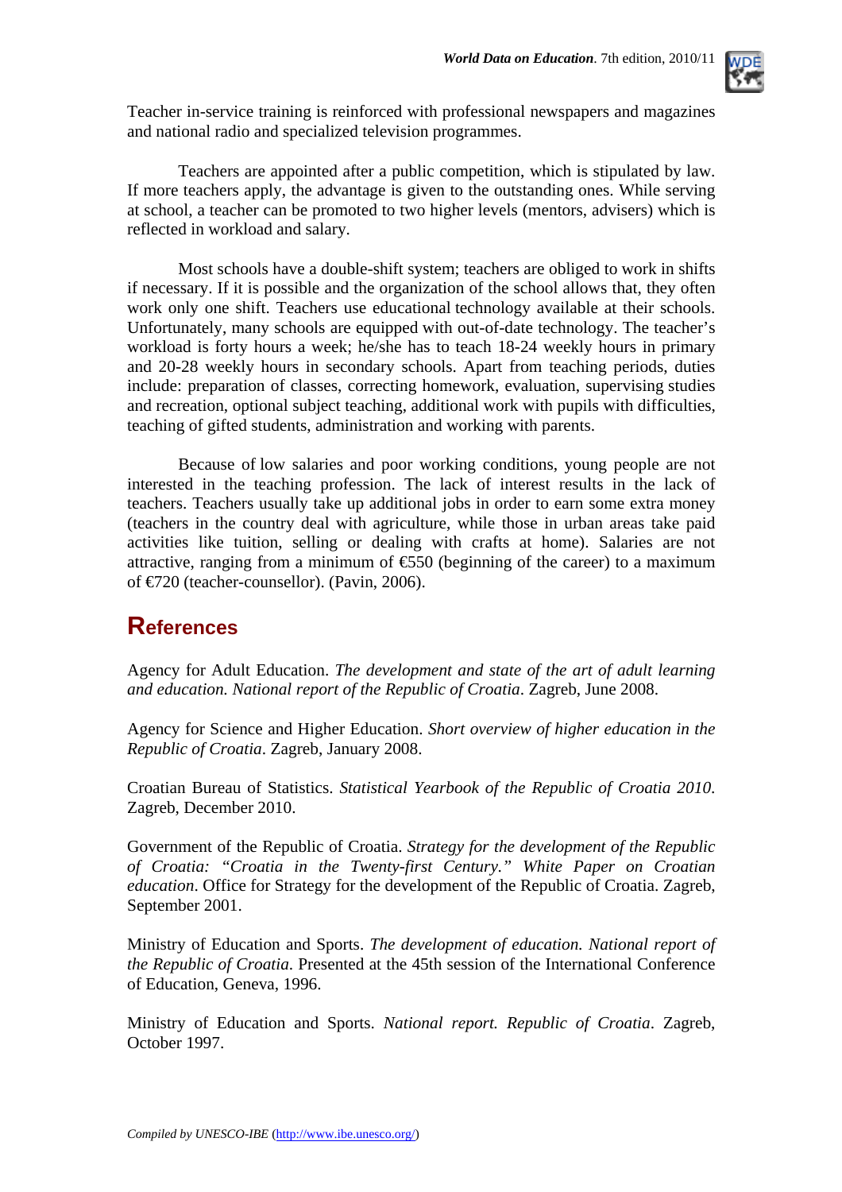

Teacher in-service training is reinforced with professional newspapers and magazines and national radio and specialized television programmes.

Teachers are appointed after a public competition, which is stipulated by law. If more teachers apply, the advantage is given to the outstanding ones. While serving at school, a teacher can be promoted to two higher levels (mentors, advisers) which is reflected in workload and salary.

Most schools have a double-shift system; teachers are obliged to work in shifts if necessary. If it is possible and the organization of the school allows that, they often work only one shift. Teachers use educational technology available at their schools. Unfortunately, many schools are equipped with out-of-date technology. The teacher's workload is forty hours a week; he/she has to teach 18-24 weekly hours in primary and 20-28 weekly hours in secondary schools. Apart from teaching periods, duties include: preparation of classes, correcting homework, evaluation, supervising studies and recreation, optional subject teaching, additional work with pupils with difficulties, teaching of gifted students, administration and working with parents.

Because of low salaries and poor working conditions, young people are not interested in the teaching profession. The lack of interest results in the lack of teachers. Teachers usually take up additional jobs in order to earn some extra money (teachers in the country deal with agriculture, while those in urban areas take paid activities like tuition, selling or dealing with crafts at home). Salaries are not attractive, ranging from a minimum of  $\epsilon$ 550 (beginning of the career) to a maximum of €720 (teacher-counsellor). (Pavin, 2006).

### **References**

Agency for Adult Education. *The development and state of the art of adult learning and education. National report of the Republic of Croatia*. Zagreb, June 2008.

Agency for Science and Higher Education. *Short overview of higher education in the Republic of Croatia*. Zagreb, January 2008.

Croatian Bureau of Statistics. *Statistical Yearbook of the Republic of Croatia 2010*. Zagreb, December 2010.

Government of the Republic of Croatia. *Strategy for the development of the Republic of Croatia: "Croatia in the Twenty-first Century." White Paper on Croatian education*. Office for Strategy for the development of the Republic of Croatia. Zagreb, September 2001.

Ministry of Education and Sports. *The development of education. National report of the Republic of Croatia*. Presented at the 45th session of the International Conference of Education, Geneva, 1996.

Ministry of Education and Sports. *National report. Republic of Croatia*. Zagreb, October 1997.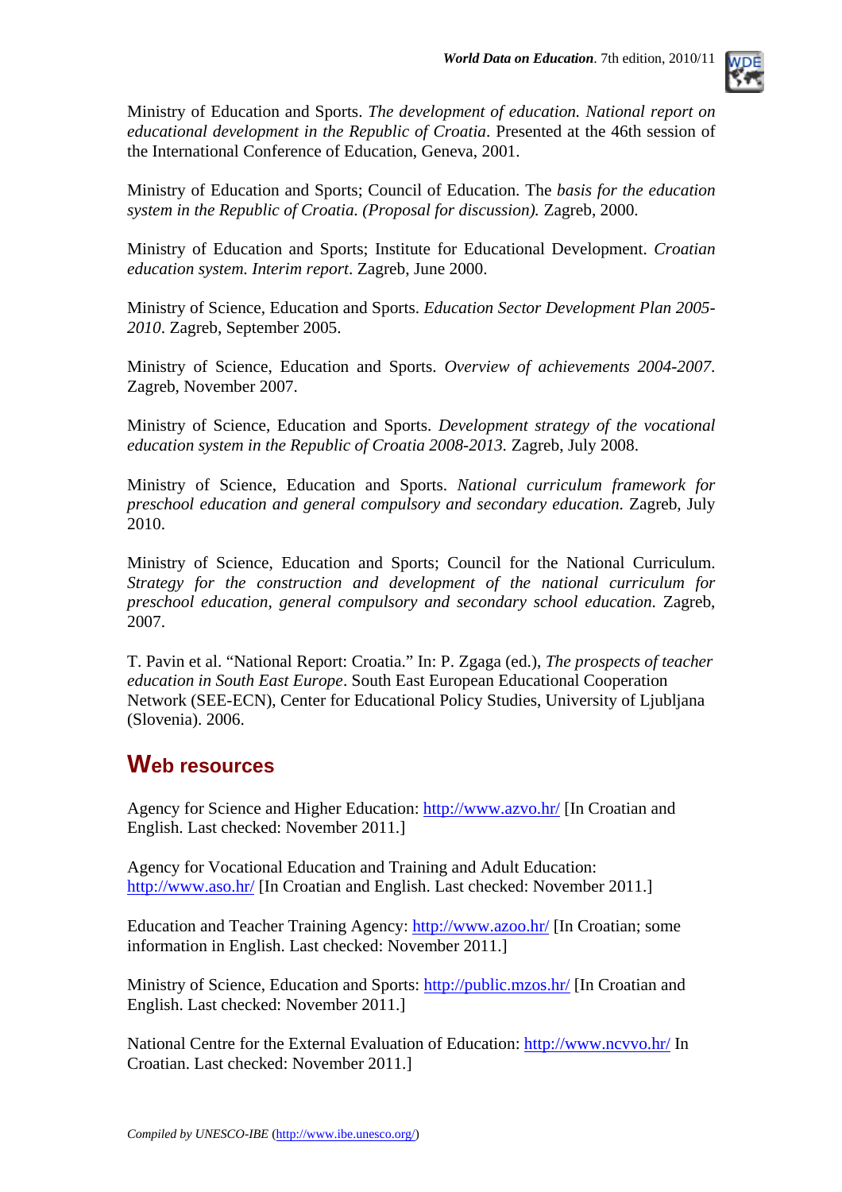

Ministry of Education and Sports. *The development of education. National report on educational development in the Republic of Croatia*. Presented at the 46th session of the International Conference of Education, Geneva, 2001.

Ministry of Education and Sports; Council of Education. The *basis for the education system in the Republic of Croatia. (Proposal for discussion).* Zagreb, 2000.

Ministry of Education and Sports; Institute for Educational Development. *Croatian education system. Interim report*. Zagreb, June 2000.

Ministry of Science, Education and Sports. *Education Sector Development Plan 2005- 2010*. Zagreb, September 2005.

Ministry of Science, Education and Sports. *Overview of achievements 2004-2007*. Zagreb, November 2007.

Ministry of Science, Education and Sports. *Development strategy of the vocational education system in the Republic of Croatia 2008-2013.* Zagreb, July 2008.

Ministry of Science, Education and Sports. *National curriculum framework for preschool education and general compulsory and secondary education*. Zagreb, July 2010.

Ministry of Science, Education and Sports; Council for the National Curriculum. *Strategy for the construction and development of the national curriculum for preschool education, general compulsory and secondary school education*. Zagreb, 2007.

T. Pavin et al. "National Report: Croatia." In: P. Zgaga (ed.), *The prospects of teacher education in South East Europe*. South East European Educational Cooperation Network (SEE-ECN), Center for Educational Policy Studies, University of Ljubljana (Slovenia). 2006.

### **Web resources**

Agency for Science and Higher Education:<http://www.azvo.hr/>[In Croatian and English. Last checked: November 2011.]

Agency for Vocational Education and Training and Adult Education: <http://www.aso.hr/>[In Croatian and English. Last checked: November 2011.]

Education and Teacher Training Agency:<http://www.azoo.hr/> [In Croatian; some information in English. Last checked: November 2011.]

Ministry of Science, Education and Sports: <http://public.mzos.hr/>[In Croatian and English. Last checked: November 2011.]

National Centre for the External Evaluation of Education:<http://www.ncvvo.hr/>In Croatian. Last checked: November 2011.]